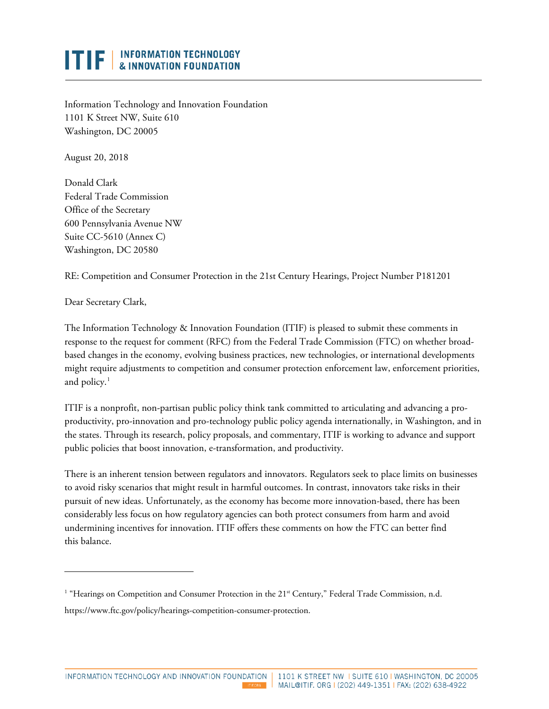# ITIF | INFORMATION TECHNOLOGY

Information Technology and Innovation Foundation 1101 K Street NW, Suite 610 Washington, DC 20005

August 20, 2018

Donald Clark Federal Trade Commission Office of the Secretary 600 Pennsylvania Avenue NW Suite CC-5610 (Annex C) Washington, DC 20580

RE: Competition and Consumer Protection in the 21st Century Hearings, Project Number P181201

Dear Secretary Clark,

The Information Technology & Innovation Foundation (ITIF) is pleased to submit these comments in response to the request for comment (RFC) from the Federal Trade Commission (FTC) on whether broadbased changes in the economy, evolving business practices, new technologies, or international developments might require adjustments to competition and consumer protection enforcement law, enforcement priorities, and policy. [1](#page-0-0)

ITIF is a nonprofit, non-partisan public policy think tank committed to articulating and advancing a proproductivity, pro-innovation and pro-technology public policy agenda internationally, in Washington, and in the states. Through its research, policy proposals, and commentary, ITIF is working to advance and support public policies that boost innovation, e-transformation, and productivity.

There is an inherent tension between regulators and innovators. Regulators seek to place limits on businesses to avoid risky scenarios that might result in harmful outcomes. In contrast, innovators take risks in their pursuit of new ideas. Unfortunately, as the economy has become more innovation-based, there has been considerably less focus on how regulatory agencies can both protect consumers from harm and avoid undermining incentives for innovation. ITIF offers these comments on how the FTC can better find this balance.

<span id="page-0-0"></span><sup>&</sup>lt;sup>1</sup> "Hearings on Competition and Consumer Protection in the 21<sup>st</sup> Century," Federal Trade Commission, n.d. [https://www.ftc.gov/policy/hearings-competition-consumer-protection.](https://www.ftc.gov/policy/hearings-competition-consumer-protection)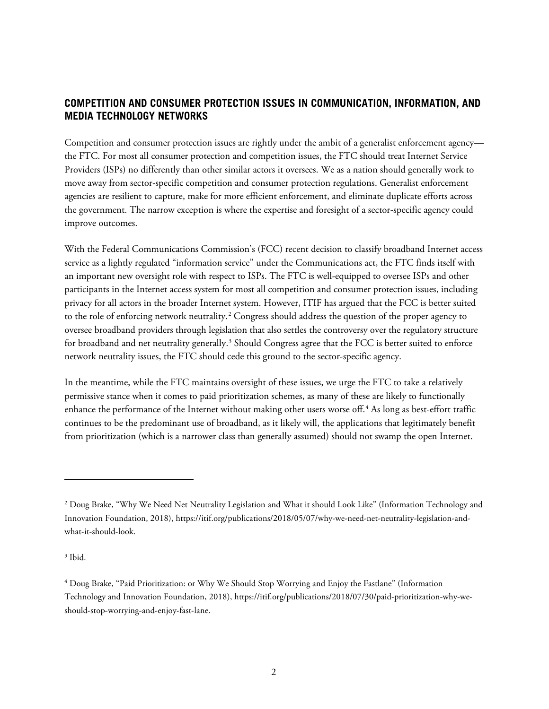# **COMPETITION AND CONSUMER PROTECTION ISSUES IN COMMUNICATION, INFORMATION, AND MEDIA TECHNOLOGY NETWORKS**

Competition and consumer protection issues are rightly under the ambit of a generalist enforcement agency the FTC. For most all consumer protection and competition issues, the FTC should treat Internet Service Providers (ISPs) no differently than other similar actors it oversees. We as a nation should generally work to move away from sector-specific competition and consumer protection regulations. Generalist enforcement agencies are resilient to capture, make for more efficient enforcement, and eliminate duplicate efforts across the government. The narrow exception is where the expertise and foresight of a sector-specific agency could improve outcomes.

With the Federal Communications Commission's (FCC) recent decision to classify broadband Internet access service as a lightly regulated "information service" under the Communications act, the FTC finds itself with an important new oversight role with respect to ISPs. The FTC is well-equipped to oversee ISPs and other participants in the Internet access system for most all competition and consumer protection issues, including privacy for all actors in the broader Internet system. However, ITIF has argued that the FCC is better suited to the role of enforcing network neutrality.<sup>[2](#page-1-0)</sup> Congress should address the question of the proper agency to oversee broadband providers through legislation that also settles the controversy over the regulatory structure for broadband and net neutrality generally.<sup>[3](#page-1-1)</sup> Should Congress agree that the FCC is better suited to enforce network neutrality issues, the FTC should cede this ground to the sector-specific agency.

In the meantime, while the FTC maintains oversight of these issues, we urge the FTC to take a relatively permissive stance when it comes to paid prioritization schemes, as many of these are likely to functionally enhance the performance of the Internet without making other users worse off.<sup>[4](#page-1-2)</sup> As long as best-effort traffic continues to be the predominant use of broadband, as it likely will, the applications that legitimately benefit from prioritization (which is a narrower class than generally assumed) should not swamp the open Internet.

<span id="page-1-0"></span><sup>2</sup> Doug Brake, "Why We Need Net Neutrality Legislation and What it should Look Like" (Information Technology and Innovation Foundation, 2018), https://itif.org/publications/2018/05/07/why-we-need-net-neutrality-legislation-andwhat-it-should-look.

<span id="page-1-1"></span><sup>3</sup> Ibid.

<span id="page-1-2"></span><sup>4</sup> Doug Brake, "Paid Prioritization: or Why We Should Stop Worrying and Enjoy the Fastlane" (Information Technology and Innovation Foundation, 2018), https://itif.org/publications/2018/07/30/paid-prioritization-why-weshould-stop-worrying-and-enjoy-fast-lane.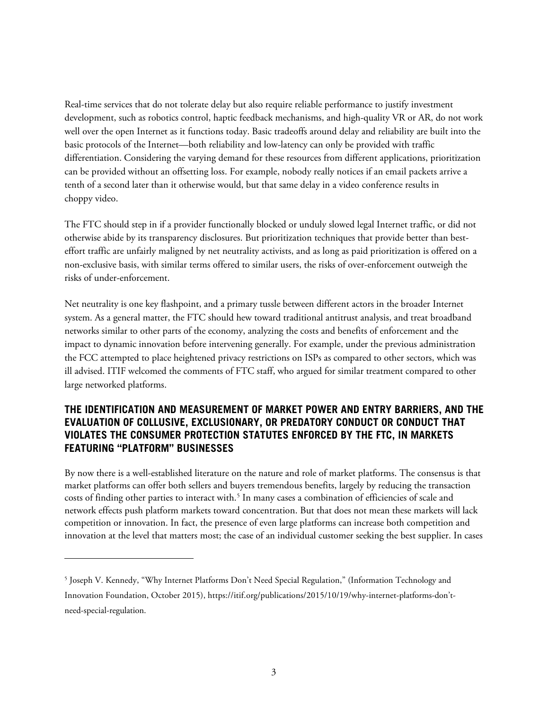Real-time services that do not tolerate delay but also require reliable performance to justify investment development, such as robotics control, haptic feedback mechanisms, and high-quality VR or AR, do not work well over the open Internet as it functions today. Basic tradeoffs around delay and reliability are built into the basic protocols of the Internet—both reliability and low-latency can only be provided with traffic differentiation. Considering the varying demand for these resources from different applications, prioritization can be provided without an offsetting loss. For example, nobody really notices if an email packets arrive a tenth of a second later than it otherwise would, but that same delay in a video conference results in choppy video.

The FTC should step in if a provider functionally blocked or unduly slowed legal Internet traffic, or did not otherwise abide by its transparency disclosures. But prioritization techniques that provide better than besteffort traffic are unfairly maligned by net neutrality activists, and as long as paid prioritization is offered on a non-exclusive basis, with similar terms offered to similar users, the risks of over-enforcement outweigh the risks of under-enforcement.

Net neutrality is one key flashpoint, and a primary tussle between different actors in the broader Internet system. As a general matter, the FTC should hew toward traditional antitrust analysis, and treat broadband networks similar to other parts of the economy, analyzing the costs and benefits of enforcement and the impact to dynamic innovation before intervening generally. For example, under the previous administration the FCC attempted to place heightened privacy restrictions on ISPs as compared to other sectors, which was ill advised. ITIF welcomed the comments of FTC staff, who argued for similar treatment compared to other large networked platforms.

# **THE IDENTIFICATION AND MEASUREMENT OF MARKET POWER AND ENTRY BARRIERS, AND THE EVALUATION OF COLLUSIVE, EXCLUSIONARY, OR PREDATORY CONDUCT OR CONDUCT THAT VIOLATES THE CONSUMER PROTECTION STATUTES ENFORCED BY THE FTC, IN MARKETS FEATURING "PLATFORM" BUSINESSES**

By now there is a well-established literature on the nature and role of market platforms. The consensus is that market platforms can offer both sellers and buyers tremendous benefits, largely by reducing the transaction costs of finding other parties to interact with. $^5$  $^5$  In many cases a combination of efficiencies of scale and network effects push platform markets toward concentration. But that does not mean these markets will lack competition or innovation. In fact, the presence of even large platforms can increase both competition and innovation at the level that matters most; the case of an individual customer seeking the best supplier. In cases

<span id="page-2-0"></span><sup>5</sup> Joseph V. Kennedy, "Why Internet Platforms Don't Need Special Regulation," (Information Technology and Innovation Foundation, October 2015), [https://itif.org/publications/2015/10/19/why-internet-platforms-don't](https://itif.org/publications/2015/10/19/why-internet-platforms-don)[need-special-regula](https://itif.org/publications/2015/10/19/why-internet-platforms-don)tion.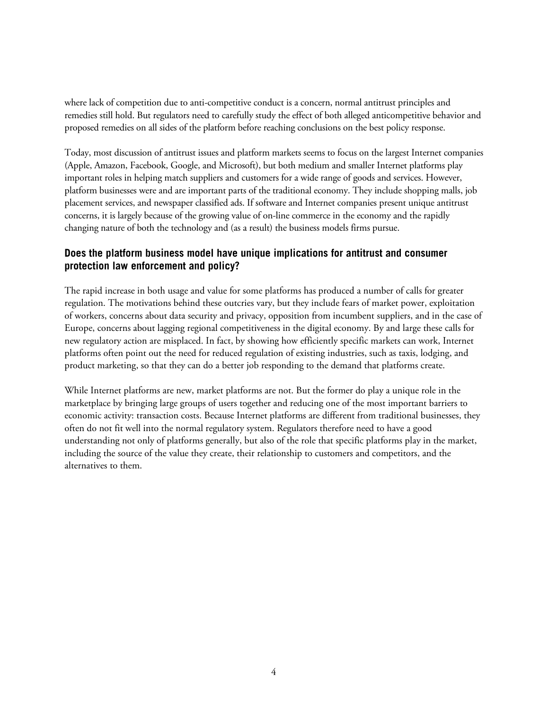where lack of competition due to anti-competitive conduct is a concern, normal antitrust principles and remedies still hold. But regulators need to carefully study the effect of both alleged anticompetitive behavior and proposed remedies on all sides of the platform before reaching conclusions on the best policy response.

Today, most discussion of antitrust issues and platform markets seems to focus on the largest Internet companies (Apple, Amazon, Facebook, Google, and Microsoft), but both medium and smaller Internet platforms play important roles in helping match suppliers and customers for a wide range of goods and services. However, platform businesses were and are important parts of the traditional economy. They include shopping malls, job placement services, and newspaper classified ads. If software and Internet companies present unique antitrust concerns, it is largely because of the growing value of on-line commerce in the economy and the rapidly changing nature of both the technology and (as a result) the business models firms pursue.

#### **Does the platform business model have unique implications for antitrust and consumer protection law enforcement and policy?**

The rapid increase in both usage and value for some platforms has produced a number of calls for greater regulation. The motivations behind these outcries vary, but they include fears of market power, exploitation of workers, concerns about data security and privacy, opposition from incumbent suppliers, and in the case of Europe, concerns about lagging regional competitiveness in the digital economy. By and large these calls for new regulatory action are misplaced. In fact, by showing how efficiently specific markets can work, Internet platforms often point out the need for reduced regulation of existing industries, such as taxis, lodging, and product marketing, so that they can do a better job responding to the demand that platforms create.

While Internet platforms are new, market platforms are not. But the former do play a unique role in the marketplace by bringing large groups of users together and reducing one of the most important barriers to economic activity: transaction costs. Because Internet platforms are different from traditional businesses, they often do not fit well into the normal regulatory system. Regulators therefore need to have a good understanding not only of platforms generally, but also of the role that specific platforms play in the market, including the source of the value they create, their relationship to customers and competitors, and the alternatives to them.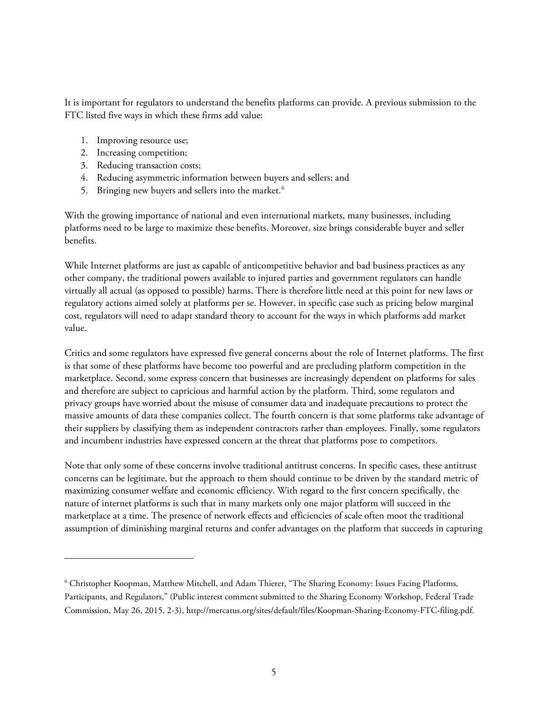It is important for regulators to understand the benefits platforms can provide. A previous submission to the FTC listed five ways in which these firms add value:

- 1. Improving resource use;
- 2. Increasing competition;

1

- 3. Reducing transaction costs;
- 4. Reducing asymmetric information between buyers and sellers; and
- 5. Bringing new buyers and sellers into the market.<sup>[6](#page-4-0)</sup>

With the growing importance of national and even international markets, many businesses, including platforms need to be large to maximize these benefits. Moreover, size brings considerable buyer and seller benefits.

While Internet platforms are just as capable of anticompetitive behavior and bad business practices as any other company, the traditional powers available to injured parties and government regulators can handle virtually all actual (as opposed to possible) harms. There is therefore little need at this point for new laws or regulatory actions aimed solely at platforms per se. However, in specific case such as pricing below marginal cost, regulators will need to adapt standard theory to account for the ways in which platforms add market value.

Critics and some regulators have expressed five general concerns about the role of Internet platforms. The first is that some of these platforms have become too powerful and are precluding platform competition in the marketplace. Second, some express concern that businesses are increasingly dependent on platforms for sales and therefore are subject to capricious and harmful action by the platform. Third, some regulators and privacy groups have worried about the misuse of consumer data and inadequate precautions to protect the massive amounts of data these companies collect. The fourth concern is that some platforms take advantage of their suppliers by classifying them as independent contractors rather than employees. Finally, some regulators and incumbent industries have expressed concern at the threat that platforms pose to competitors.

Note that only some of these concerns involve traditional antitrust concerns. In specific cases, these antitrust concerns can be legitimate, but the approach to them should continue to be driven by the standard metric of maximizing consumer welfare and economic efficiency. With regard to the first concern specifically, the nature of internet platforms is such that in many markets only one major platform will succeed in the marketplace at a time. The presence of network effects and efficiencies of scale often moot the traditional assumption of diminishing marginal returns and confer advantages on the platform that succeeds in capturing

<span id="page-4-0"></span><sup>6</sup> Christopher Koopman, Matthew Mitchell, and Adam Thierer, "The Sharing Economy: Issues Facing Platforms, Participants, and Regulators," (Public interest comment submitted to the Sharing Economy Workshop, Federal Trade Commission, May 26, 2015, 2-3)[, http://mercatus.org/sites/default/files/Koopman-Sharing-Economy-FTC-filing.pdf.](http://mercatus.org/sites/default/files/Koopman-Sharing-Economy-FTC-filing.pdf)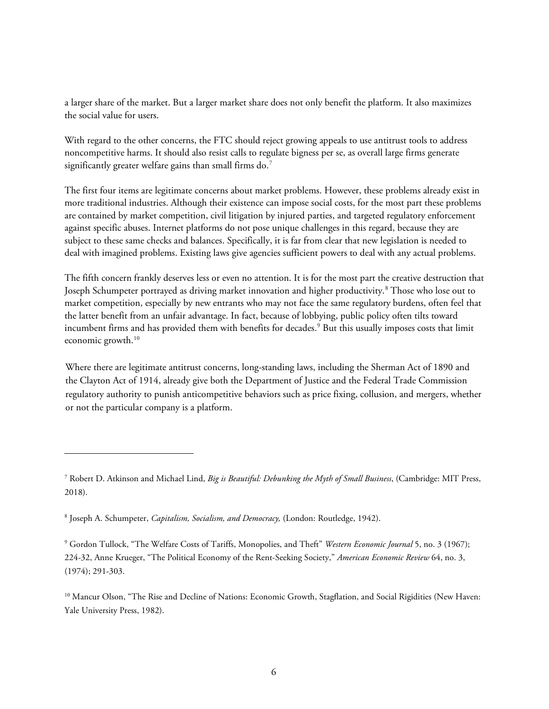a larger share of the market. But a larger market share does not only benefit the platform. It also maximizes the social value for users.

With regard to the other concerns, the FTC should reject growing appeals to use antitrust tools to address noncompetitive harms. It should also resist calls to regulate bigness per se, as overall large firms generate significantly greater welfare gains than small firms do.<sup>[7](#page-5-0)</sup>

The first four items are legitimate concerns about market problems. However, these problems already exist in more traditional industries. Although their existence can impose social costs, for the most part these problems are contained by market competition, civil litigation by injured parties, and targeted regulatory enforcement against specific abuses. Internet platforms do not pose unique challenges in this regard, because they are subject to these same checks and balances. Specifically, it is far from clear that new legislation is needed to deal with imagined problems. Existing laws give agencies sufficient powers to deal with any actual problems.

The fifth concern frankly deserves less or even no attention. It is for the most part the creative destruction that Joseph Schumpeter portrayed as driving market innovation and higher productivity.<sup>[8](#page-5-1)</sup> Those who lose out to market competition, especially by new entrants who may not face the same regulatory burdens, often feel that the latter benefit from an unfair advantage. In fact, because of lobbying, public policy often tilts toward incumbent firms and has provided them with benefits for decades.<sup>[9](#page-5-2)</sup> But this usually imposes costs that limit economic growth.<sup>[10](#page-5-3)</sup>

Where there are legitimate antitrust concerns, long-standing laws, including the Sherman Act of 1890 and the Clayton Act of 1914, already give both the Department of Justice and the Federal Trade Commission regulatory authority to punish anticompetitive behaviors such as price fixing, collusion, and mergers, whether or not the particular company is a platform.

<span id="page-5-0"></span><sup>7</sup> Robert D. Atkinson and Michael Lind, *Big is Beautiful: Debunking the Myth of Small Business*, (Cambridge: MIT Press, 2018).

<span id="page-5-1"></span><sup>8</sup> Joseph A. Schumpeter, *Capitalism, Socialism, and Democracy,* (London: Routledge, 1942).

<span id="page-5-2"></span><sup>9</sup> Gordon Tullock, "The Welfare Costs of Tariffs, Monopolies, and Theft" *Western Economic Journal* 5, no. 3 (1967); 224-32, Anne Krueger, "The Political Economy of the Rent-Seeking Society," *American Economic Review* 64, no. 3, (1974); 291-303.

<span id="page-5-3"></span><sup>&</sup>lt;sup>10</sup> Mancur Olson, "The Rise and Decline of Nations: Economic Growth, Stagflation, and Social Rigidities (New Haven: Yale University Press, 1982).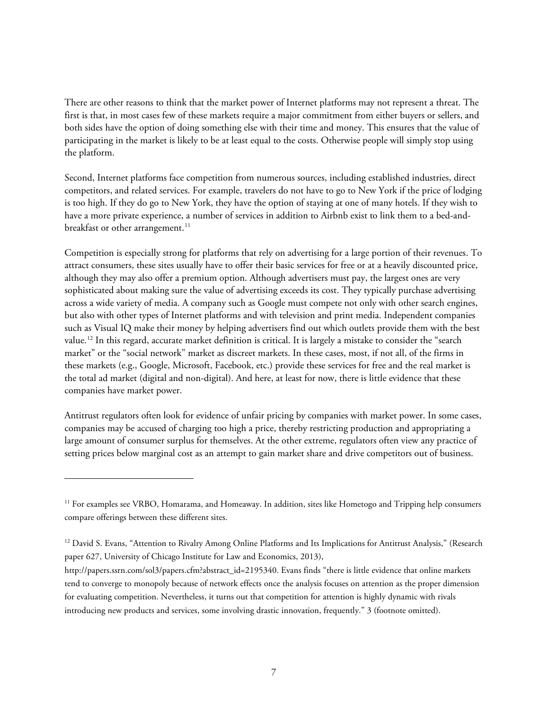There are other reasons to think that the market power of Internet platforms may not represent a threat. The first is that, in most cases few of these markets require a major commitment from either buyers or sellers, and both sides have the option of doing something else with their time and money. This ensures that the value of participating in the market is likely to be at least equal to the costs. Otherwise people will simply stop using the platform.

Second, Internet platforms face competition from numerous sources, including established industries, direct competitors, and related services. For example, travelers do not have to go to New York if the price of lodging is too high. If they do go to New York, they have the option of staying at one of many hotels. If they wish to have a more private experience, a number of services in addition to Airbnb exist to link them to a bed-and-breakfast or other arrangement.<sup>[11](#page-6-0)</sup>

Competition is especially strong for platforms that rely on advertising for a large portion of their revenues. To attract consumers, these sites usually have to offer their basic services for free or at a heavily discounted price, although they may also offer a premium option. Although advertisers must pay, the largest ones are very sophisticated about making sure the value of advertising exceeds its cost. They typically purchase advertising across a wide variety of media. A company such as Google must compete not only with other search engines, but also with other types of Internet platforms and with television and print media. Independent companies such as Visual IQ make their money by helping advertisers find out which outlets provide them with the best value.[12](#page-6-1) In this regard, accurate market definition is critical. It is largely a mistake to consider the "search market" or the "social network" market as discreet markets. In these cases, most, if not all, of the firms in these markets (e.g., Google, Microsoft, Facebook, etc.) provide these services for free and the real market is the total ad market (digital and non-digital). And here, at least for now, there is little evidence that these companies have market power.

Antitrust regulators often look for evidence of unfair pricing by companies with market power. In some cases, companies may be accused of charging too high a price, thereby restricting production and appropriating a large amount of consumer surplus for themselves. At the other extreme, regulators often view any practice of setting prices below marginal cost as an attempt to gain market share and drive competitors out of business.

 $\ddot{\phantom{a}}$ 

<span id="page-6-0"></span><sup>&</sup>lt;sup>11</sup> For examples see VRBO, Homarama, and Homeaway. In addition, sites like Hometogo and Tripping help consumers compare offerings between these different sites.

<span id="page-6-1"></span> $12$  David S. Evans, "Attention to Rivalry Among Online Platforms and Its Implications for Antitrust Analysis," (Research paper 627, University of Chicago Institute for Law and Economics, 2013),

[http://papers.ssrn.com/sol3/papers.cfm?abstract\\_id=2195340.](http://papers.ssrn.com/sol3/papers.cfm?abstract_id=2195340) Evans finds "there is little evidence that online markets tend to converge to monopoly because of network effects once the analysis focuses on attention as the proper dimension for evaluating competition. Nevertheless, it turns out that competition for attention is highly dynamic with rivals introducing new products and services, some involving drastic innovation, frequently." 3 (footnote omitted).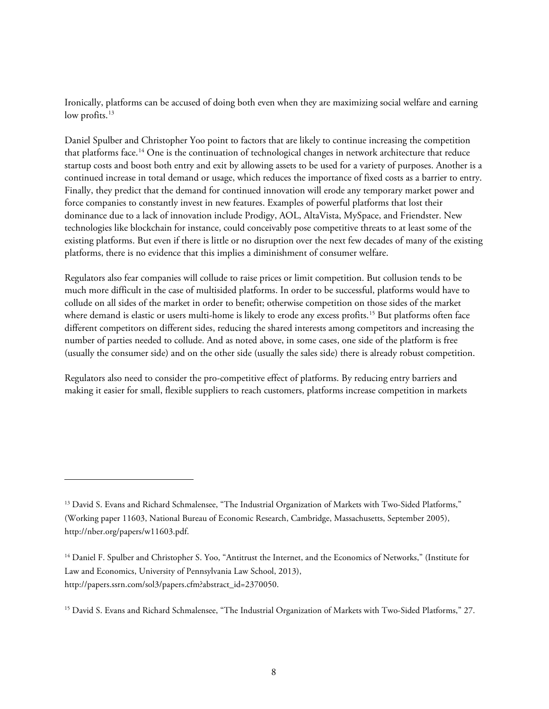Ironically, platforms can be accused of doing both even when they are maximizing social welfare and earning low profits.<sup>[13](#page-7-0)</sup>

Daniel Spulber and Christopher Yoo point to factors that are likely to continue increasing the competition that platforms face.[14](#page-7-1) One is the continuation of technological changes in network architecture that reduce startup costs and boost both entry and exit by allowing assets to be used for a variety of purposes. Another is a continued increase in total demand or usage, which reduces the importance of fixed costs as a barrier to entry. Finally, they predict that the demand for continued innovation will erode any temporary market power and force companies to constantly invest in new features. Examples of powerful platforms that lost their dominance due to a lack of innovation include Prodigy, AOL, AltaVista, MySpace, and Friendster. New technologies like blockchain for instance, could conceivably pose competitive threats to at least some of the existing platforms. But even if there is little or no disruption over the next few decades of many of the existing platforms, there is no evidence that this implies a diminishment of consumer welfare.

Regulators also fear companies will collude to raise prices or limit competition. But collusion tends to be much more difficult in the case of multisided platforms. In order to be successful, platforms would have to collude on all sides of the market in order to benefit; otherwise competition on those sides of the market where demand is elastic or users multi-home is likely to erode any excess profits.<sup>[15](#page-7-2)</sup> But platforms often face different competitors on different sides, reducing the shared interests among competitors and increasing the number of parties needed to collude. And as noted above, in some cases, one side of the platform is free (usually the consumer side) and on the other side (usually the sales side) there is already robust competition.

Regulators also need to consider the pro-competitive effect of platforms. By reducing entry barriers and making it easier for small, flexible suppliers to reach customers, platforms increase competition in markets

<span id="page-7-0"></span><sup>&</sup>lt;sup>13</sup> David S. Evans and Richard Schmalensee, "The Industrial Organization of Markets with Two-Sided Platforms," (Working paper 11603, National Bureau of Economic Research, Cambridge, Massachusetts, September 2005), [http://nber.org/papers/w11603.pdf.](http://nber.org/papers/w11603.pdf)

<span id="page-7-1"></span><sup>&</sup>lt;sup>14</sup> Daniel F. Spulber and Christopher S. Yoo, "Antitrust the Internet, and the Economics of Networks," (Institute for Law and Economics, University of Pennsylvania Law School, 2013), [http://papers.ssrn.com/sol3/papers.cfm?abstract\\_id=2370050.](http://papers.ssrn.com/sol3/papers.cfm?abstract_id=2370050)

<span id="page-7-2"></span><sup>&</sup>lt;sup>15</sup> David S. Evans and Richard Schmalensee, "The Industrial Organization of Markets with Two-Sided Platforms," 27.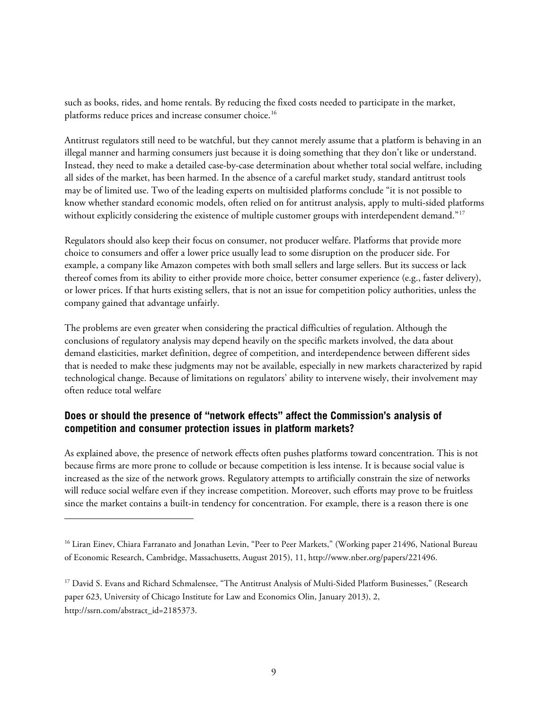such as books, rides, and home rentals. By reducing the fixed costs needed to participate in the market, platforms reduce prices and increase consumer choice. [16](#page-8-0)

Antitrust regulators still need to be watchful, but they cannot merely assume that a platform is behaving in an illegal manner and harming consumers just because it is doing something that they don't like or understand. Instead, they need to make a detailed case-by-case determination about whether total social welfare, including all sides of the market, has been harmed. In the absence of a careful market study, standard antitrust tools may be of limited use. Two of the leading experts on multisided platforms conclude "it is not possible to know whether standard economic models, often relied on for antitrust analysis, apply to multi-sided platforms without explicitly considering the existence of multiple customer groups with interdependent demand."<sup>[17](#page-8-1)</sup>

Regulators should also keep their focus on consumer, not producer welfare. Platforms that provide more choice to consumers and offer a lower price usually lead to some disruption on the producer side. For example, a company like Amazon competes with both small sellers and large sellers. But its success or lack thereof comes from its ability to either provide more choice, better consumer experience (e.g., faster delivery), or lower prices. If that hurts existing sellers, that is not an issue for competition policy authorities, unless the company gained that advantage unfairly.

The problems are even greater when considering the practical difficulties of regulation. Although the conclusions of regulatory analysis may depend heavily on the specific markets involved, the data about demand elasticities, market definition, degree of competition, and interdependence between different sides that is needed to make these judgments may not be available, especially in new markets characterized by rapid technological change. Because of limitations on regulators' ability to intervene wisely, their involvement may often reduce total welfare

# **Does or should the presence of "network effects" affect the Commission's analysis of competition and consumer protection issues in platform markets?**

 $\ddot{\phantom{a}}$ 

As explained above, the presence of network effects often pushes platforms toward concentration. This is not because firms are more prone to collude or because competition is less intense. It is because social value is increased as the size of the network grows. Regulatory attempts to artificially constrain the size of networks will reduce social welfare even if they increase competition. Moreover, such efforts may prove to be fruitless since the market contains a built-in tendency for concentration. For example, there is a reason there is one

<span id="page-8-0"></span><sup>&</sup>lt;sup>16</sup> Liran Einev, Chiara Farranato and Jonathan Levin, "Peer to Peer Markets," (Working paper 21496, National Bureau of Economic Research, Cambridge, Massachusetts, August 2015), 11, [http://www.nber.org/papers/221496.](http://www.nber.org/papers/221496)

<span id="page-8-1"></span><sup>&</sup>lt;sup>17</sup> David S. Evans and Richard Schmalensee, "The Antitrust Analysis of Multi-Sided Platform Businesses," (Research paper 623, University of Chicago Institute for Law and Economics Olin, January 2013), 2, [http://ssrn.com/abstract\\_id=2185373.](http://ssrn.com/abstract_id=2185373)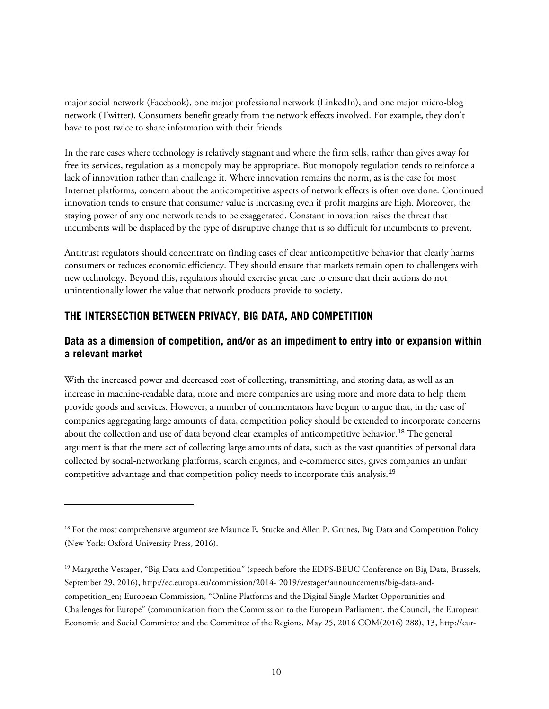major social network (Facebook), one major professional network (LinkedIn), and one major micro-blog network (Twitter). Consumers benefit greatly from the network effects involved. For example, they don't have to post twice to share information with their friends.

In the rare cases where technology is relatively stagnant and where the firm sells, rather than gives away for free its services, regulation as a monopoly may be appropriate. But monopoly regulation tends to reinforce a lack of innovation rather than challenge it. Where innovation remains the norm, as is the case for most Internet platforms, concern about the anticompetitive aspects of network effects is often overdone. Continued innovation tends to ensure that consumer value is increasing even if profit margins are high. Moreover, the staying power of any one network tends to be exaggerated. Constant innovation raises the threat that incumbents will be displaced by the type of disruptive change that is so difficult for incumbents to prevent.

Antitrust regulators should concentrate on finding cases of clear anticompetitive behavior that clearly harms consumers or reduces economic efficiency. They should ensure that markets remain open to challengers with new technology. Beyond this, regulators should exercise great care to ensure that their actions do not unintentionally lower the value that network products provide to society.

#### **THE INTERSECTION BETWEEN PRIVACY, BIG DATA, AND COMPETITION**

1

#### **Data as a dimension of competition, and/or as an impediment to entry into or expansion within a relevant market**

With the increased power and decreased cost of collecting, transmitting, and storing data, as well as an increase in machine-readable data, more and more companies are using more and more data to help them provide goods and services. However, a number of commentators have begun to argue that, in the case of companies aggregating large amounts of data, competition policy should be extended to incorporate concerns about the collection and use of data beyond clear examples of anticompetitive behavior.<sup>[18](#page-9-0)</sup> The general argument is that the mere act of collecting large amounts of data, such as the vast quantities of personal data collected by social-networking platforms, search engines, and e-commerce sites, gives companies an unfair competitive advantage and that competition policy needs to incorporate this analysis.<sup>[19](#page-9-1)</sup>

<span id="page-9-0"></span><sup>&</sup>lt;sup>18</sup> For the most comprehensive argument see Maurice E. Stucke and Allen P. Grunes, Big Data and Competition Policy (New York: Oxford University Press, 2016).

<span id="page-9-1"></span><sup>&</sup>lt;sup>19</sup> Margrethe Vestager, "Big Data and Competition" (speech before the EDPS-BEUC Conference on Big Data, Brussels, September 29, 2016), http://ec.europa.eu/commission/2014- 2019/vestager/announcements/big-data-andcompetition\_en; European Commission, "Online Platforms and the Digital Single Market Opportunities and Challenges for Europe" (communication from the Commission to the European Parliament, the Council, the European Economic and Social Committee and the Committee of the Regions, May 25, 2016 COM(2016) 288), 13, http://eur-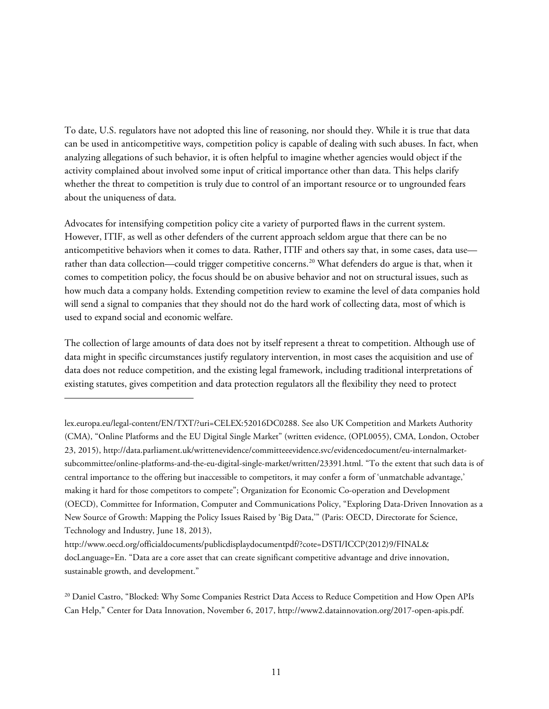To date, U.S. regulators have not adopted this line of reasoning, nor should they. While it is true that data can be used in anticompetitive ways, competition policy is capable of dealing with such abuses. In fact, when analyzing allegations of such behavior, it is often helpful to imagine whether agencies would object if the activity complained about involved some input of critical importance other than data. This helps clarify whether the threat to competition is truly due to control of an important resource or to ungrounded fears about the uniqueness of data.

Advocates for intensifying competition policy cite a variety of purported flaws in the current system. However, ITIF, as well as other defenders of the current approach seldom argue that there can be no anticompetitive behaviors when it comes to data. Rather, ITIF and others say that, in some cases, data use— rather than data collection—could trigger competitive concerns.<sup>[20](#page-10-0)</sup> What defenders do argue is that, when it comes to competition policy, the focus should be on abusive behavior and not on structural issues, such as how much data a company holds. Extending competition review to examine the level of data companies hold will send a signal to companies that they should not do the hard work of collecting data, most of which is used to expand social and economic welfare.

The collection of large amounts of data does not by itself represent a threat to competition. Although use of data might in specific circumstances justify regulatory intervention, in most cases the acquisition and use of data does not reduce competition, and the existing legal framework, including traditional interpretations of existing statutes, gives competition and data protection regulators all the flexibility they need to protect

 $\ddot{\phantom{a}}$ 

<span id="page-10-0"></span><sup>20</sup> Daniel Castro, "Blocked: Why Some Companies Restrict Data Access to Reduce Competition and How Open APIs Can Help," Center for Data Innovation, November 6, 2017, http://www2.datainnovation.org/2017-open-apis.pdf.

lex.europa.eu/legal-content/EN/TXT/?uri=CELEX:52016DC0288. See also UK Competition and Markets Authority (CMA), "Online Platforms and the EU Digital Single Market" (written evidence, (OPL0055), CMA, London, October 23, 2015), http://data.parliament.uk/writtenevidence/committeeevidence.svc/evidencedocument/eu-internalmarketsubcommittee/online-platforms-and-the-eu-digital-single-market/written/23391.html. "To the extent that such data is of central importance to the offering but inaccessible to competitors, it may confer a form of 'unmatchable advantage,' making it hard for those competitors to compete"; Organization for Economic Co-operation and Development (OECD), Committee for Information, Computer and Communications Policy, "Exploring Data-Driven Innovation as a New Source of Growth: Mapping the Policy Issues Raised by 'Big Data,'" (Paris: OECD, Directorate for Science, Technology and Industry, June 18, 2013),

http://www.oecd.org/officialdocuments/publicdisplaydocumentpdf/?cote=DSTI/ICCP(2012)9/FINAL& docLanguage=En. "Data are a core asset that can create significant competitive advantage and drive innovation, sustainable growth, and development."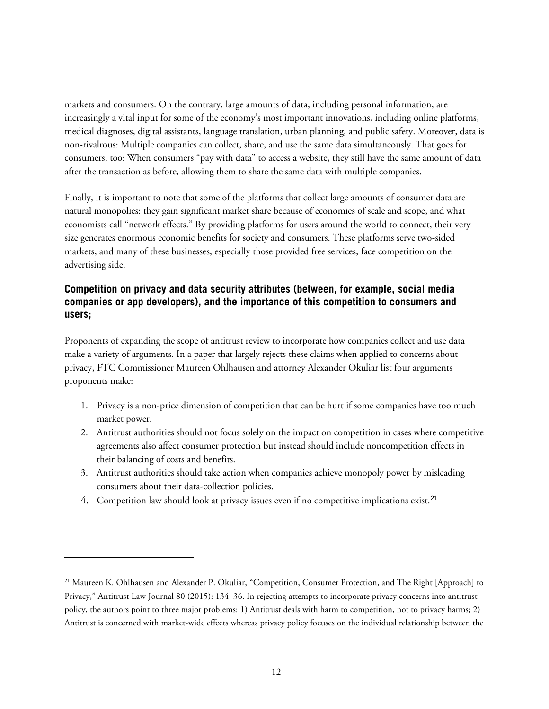markets and consumers. On the contrary, large amounts of data, including personal information, are increasingly a vital input for some of the economy's most important innovations, including online platforms, medical diagnoses, digital assistants, language translation, urban planning, and public safety. Moreover, data is non-rivalrous: Multiple companies can collect, share, and use the same data simultaneously. That goes for consumers, too: When consumers "pay with data" to access a website, they still have the same amount of data after the transaction as before, allowing them to share the same data with multiple companies.

Finally, it is important to note that some of the platforms that collect large amounts of consumer data are natural monopolies: they gain significant market share because of economies of scale and scope, and what economists call "network effects." By providing platforms for users around the world to connect, their very size generates enormous economic benefits for society and consumers. These platforms serve two-sided markets, and many of these businesses, especially those provided free services, face competition on the advertising side.

# **Competition on privacy and data security attributes (between, for example, social media companies or app developers), and the importance of this competition to consumers and users;**

Proponents of expanding the scope of antitrust review to incorporate how companies collect and use data make a variety of arguments. In a paper that largely rejects these claims when applied to concerns about privacy, FTC Commissioner Maureen Ohlhausen and attorney Alexander Okuliar list four arguments proponents make:

- 1. Privacy is a non-price dimension of competition that can be hurt if some companies have too much market power.
- 2. Antitrust authorities should not focus solely on the impact on competition in cases where competitive agreements also affect consumer protection but instead should include noncompetition effects in their balancing of costs and benefits.
- 3. Antitrust authorities should take action when companies achieve monopoly power by misleading consumers about their data-collection policies.
- 4. Competition law should look at privacy issues even if no competitive implications exist.<sup>[21](#page-11-0)</sup>

<span id="page-11-0"></span><sup>&</sup>lt;sup>21</sup> Maureen K. Ohlhausen and Alexander P. Okuliar, "Competition, Consumer Protection, and The Right [Approach] to Privacy," Antitrust Law Journal 80 (2015): 134–36. In rejecting attempts to incorporate privacy concerns into antitrust policy, the authors point to three major problems: 1) Antitrust deals with harm to competition, not to privacy harms; 2) Antitrust is concerned with market-wide effects whereas privacy policy focuses on the individual relationship between the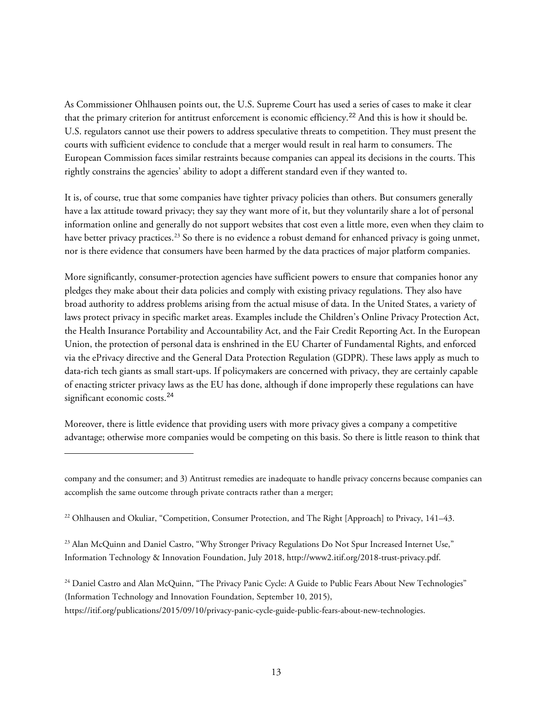As Commissioner Ohlhausen points out, the U.S. Supreme Court has used a series of cases to make it clear that the primary criterion for antitrust enforcement is economic efficiency.<sup>[22](#page-12-0)</sup> And this is how it should be. U.S. regulators cannot use their powers to address speculative threats to competition. They must present the courts with sufficient evidence to conclude that a merger would result in real harm to consumers. The European Commission faces similar restraints because companies can appeal its decisions in the courts. This rightly constrains the agencies' ability to adopt a different standard even if they wanted to.

It is, of course, true that some companies have tighter privacy policies than others. But consumers generally have a lax attitude toward privacy; they say they want more of it, but they voluntarily share a lot of personal information online and generally do not support websites that cost even a little more, even when they claim to have better privacy practices.<sup>[23](#page-12-1)</sup> So there is no evidence a robust demand for enhanced privacy is going unmet, nor is there evidence that consumers have been harmed by the data practices of major platform companies.

More significantly, consumer-protection agencies have sufficient powers to ensure that companies honor any pledges they make about their data policies and comply with existing privacy regulations. They also have broad authority to address problems arising from the actual misuse of data. In the United States, a variety of laws protect privacy in specific market areas. Examples include the Children's Online Privacy Protection Act, the Health Insurance Portability and Accountability Act, and the Fair Credit Reporting Act. In the European Union, the protection of personal data is enshrined in the EU Charter of Fundamental Rights, and enforced via the ePrivacy directive and the General Data Protection Regulation (GDPR). These laws apply as much to data-rich tech giants as small start-ups. If policymakers are concerned with privacy, they are certainly capable of enacting stricter privacy laws as the EU has done, although if done improperly these regulations can have significant economic costs.<sup>[24](#page-12-2)</sup>

Moreover, there is little evidence that providing users with more privacy gives a company a competitive advantage; otherwise more companies would be competing on this basis. So there is little reason to think that

company and the consumer; and 3) Antitrust remedies are inadequate to handle privacy concerns because companies can accomplish the same outcome through private contracts rather than a merger;

<span id="page-12-0"></span><sup>&</sup>lt;sup>22</sup> Ohlhausen and Okuliar, "Competition, Consumer Protection, and The Right [Approach] to Privacy, 141–43.

<span id="page-12-1"></span><sup>&</sup>lt;sup>23</sup> Alan McQuinn and Daniel Castro, "Why Stronger Privacy Regulations Do Not Spur Increased Internet Use," Information Technology & Innovation Foundation, July 2018, http://www2.itif.org/2018-trust-privacy.pdf.

<span id="page-12-2"></span><sup>&</sup>lt;sup>24</sup> Daniel Castro and Alan McQuinn, "The Privacy Panic Cycle: A Guide to Public Fears About New Technologies" (Information Technology and Innovation Foundation, September 10, 2015), https://itif.org/publications/2015/09/10/privacy-panic-cycle-guide-public-fears-about-new-technologies.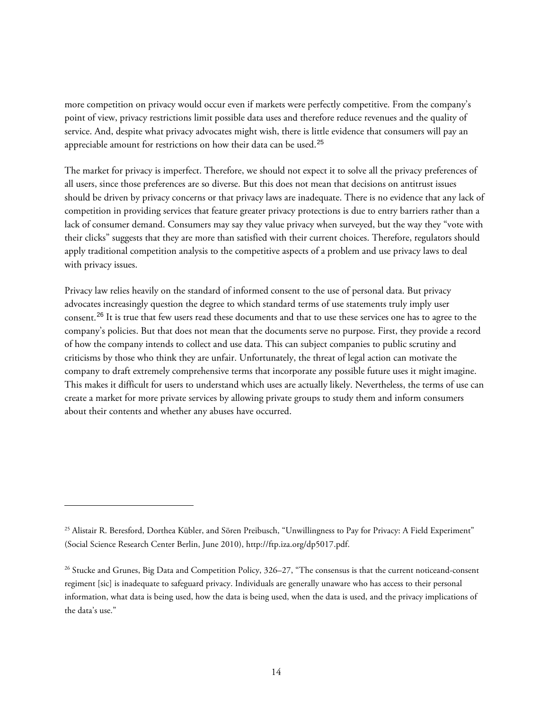more competition on privacy would occur even if markets were perfectly competitive. From the company's point of view, privacy restrictions limit possible data uses and therefore reduce revenues and the quality of service. And, despite what privacy advocates might wish, there is little evidence that consumers will pay an appreciable amount for restrictions on how their data can be used.[25](#page-13-0)

The market for privacy is imperfect. Therefore, we should not expect it to solve all the privacy preferences of all users, since those preferences are so diverse. But this does not mean that decisions on antitrust issues should be driven by privacy concerns or that privacy laws are inadequate. There is no evidence that any lack of competition in providing services that feature greater privacy protections is due to entry barriers rather than a lack of consumer demand. Consumers may say they value privacy when surveyed, but the way they "vote with their clicks" suggests that they are more than satisfied with their current choices. Therefore, regulators should apply traditional competition analysis to the competitive aspects of a problem and use privacy laws to deal with privacy issues.

Privacy law relies heavily on the standard of informed consent to the use of personal data. But privacy advocates increasingly question the degree to which standard terms of use statements truly imply user consent.[26](#page-13-1) It is true that few users read these documents and that to use these services one has to agree to the company's policies. But that does not mean that the documents serve no purpose. First, they provide a record of how the company intends to collect and use data. This can subject companies to public scrutiny and criticisms by those who think they are unfair. Unfortunately, the threat of legal action can motivate the company to draft extremely comprehensive terms that incorporate any possible future uses it might imagine. This makes it difficult for users to understand which uses are actually likely. Nevertheless, the terms of use can create a market for more private services by allowing private groups to study them and inform consumers about their contents and whether any abuses have occurred.

 $\overline{a}$ 

<span id="page-13-0"></span><sup>&</sup>lt;sup>25</sup> Alistair R. Beresford, Dorthea Kübler, and Sören Preibusch, "Unwillingness to Pay for Privacy: A Field Experiment" (Social Science Research Center Berlin, June 2010), http://ftp.iza.org/dp5017.pdf.

<span id="page-13-1"></span> $26$  Stucke and Grunes, Big Data and Competition Policy,  $326-27$ , "The consensus is that the current noticeand-consent regiment [sic] is inadequate to safeguard privacy. Individuals are generally unaware who has access to their personal information, what data is being used, how the data is being used, when the data is used, and the privacy implications of the data's use."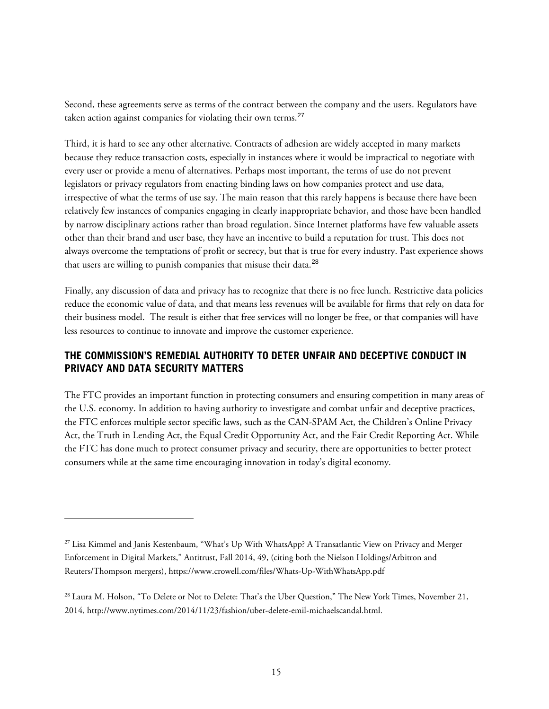Second, these agreements serve as terms of the contract between the company and the users. Regulators have taken action against companies for violating their own terms.<sup>[27](#page-14-0)</sup>

Third, it is hard to see any other alternative. Contracts of adhesion are widely accepted in many markets because they reduce transaction costs, especially in instances where it would be impractical to negotiate with every user or provide a menu of alternatives. Perhaps most important, the terms of use do not prevent legislators or privacy regulators from enacting binding laws on how companies protect and use data, irrespective of what the terms of use say. The main reason that this rarely happens is because there have been relatively few instances of companies engaging in clearly inappropriate behavior, and those have been handled by narrow disciplinary actions rather than broad regulation. Since Internet platforms have few valuable assets other than their brand and user base, they have an incentive to build a reputation for trust. This does not always overcome the temptations of profit or secrecy, but that is true for every industry. Past experience shows that users are willing to punish companies that misuse their data.<sup>[28](#page-14-1)</sup>

Finally, any discussion of data and privacy has to recognize that there is no free lunch. Restrictive data policies reduce the economic value of data, and that means less revenues will be available for firms that rely on data for their business model. The result is either that free services will no longer be free, or that companies will have less resources to continue to innovate and improve the customer experience.

# **THE COMMISSION'S REMEDIAL AUTHORITY TO DETER UNFAIR AND DECEPTIVE CONDUCT IN PRIVACY AND DATA SECURITY MATTERS**

The FTC provides an important function in protecting consumers and ensuring competition in many areas of the U.S. economy. In addition to having authority to investigate and combat unfair and deceptive practices, the FTC enforces multiple sector specific laws, such as the CAN-SPAM Act, the Children's Online Privacy Act, the Truth in Lending Act, the Equal Credit Opportunity Act, and the Fair Credit Reporting Act. While the FTC has done much to protect consumer privacy and security, there are opportunities to better protect consumers while at the same time encouraging innovation in today's digital economy.

<span id="page-14-0"></span><sup>27</sup> Lisa Kimmel and Janis Kestenbaum, "What's Up With WhatsApp? A Transatlantic View on Privacy and Merger Enforcement in Digital Markets," Antitrust, Fall 2014, 49, (citing both the Nielson Holdings/Arbitron and Reuters/Thompson mergers), https://www.crowell.com/files/Whats-Up-WithWhatsApp.pdf

<span id="page-14-1"></span><sup>28</sup> Laura M. Holson, "To Delete or Not to Delete: That's the Uber Question," The New York Times, November 21, 2014, http://www.nytimes.com/2014/11/23/fashion/uber-delete-emil-michaelscandal.html.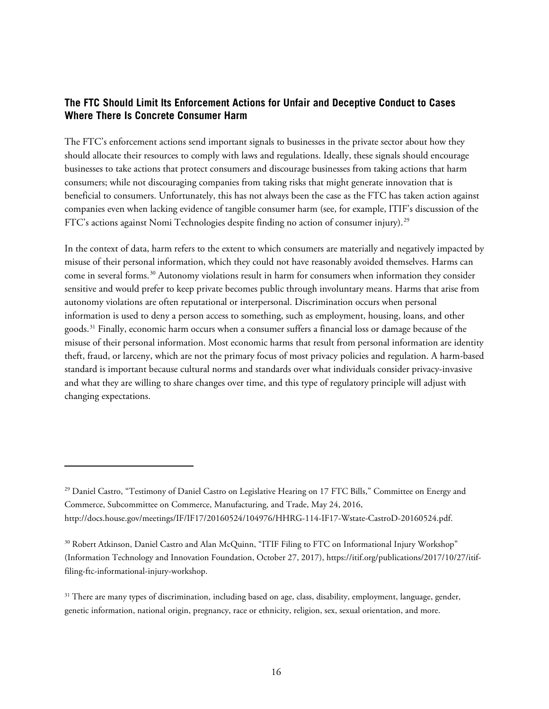## **The FTC Should Limit Its Enforcement Actions for Unfair and Deceptive Conduct to Cases Where There Is Concrete Consumer Harm**

The FTC's enforcement actions send important signals to businesses in the private sector about how they should allocate their resources to comply with laws and regulations. Ideally, these signals should encourage businesses to take actions that protect consumers and discourage businesses from taking actions that harm consumers; while not discouraging companies from taking risks that might generate innovation that is beneficial to consumers. Unfortunately, this has not always been the case as the FTC has taken action against companies even when lacking evidence of tangible consumer harm (see, for example, ITIF's discussion of the FTC's actions against Nomi Technologies despite finding no action of consumer injury). $^{29}$  $^{29}$  $^{29}$ 

In the context of data, harm refers to the extent to which consumers are materially and negatively impacted by misuse of their personal information, which they could not have reasonably avoided themselves. Harms can come in several forms.<sup>[30](#page-15-1)</sup> Autonomy violations result in harm for consumers when information they consider sensitive and would prefer to keep private becomes public through involuntary means. Harms that arise from autonomy violations are often reputational or interpersonal. Discrimination occurs when personal information is used to deny a person access to something, such as employment, housing, loans, and other goods.[31](#page-15-2) Finally, economic harm occurs when a consumer suffers a financial loss or damage because of the misuse of their personal information. Most economic harms that result from personal information are identity theft, fraud, or larceny, which are not the primary focus of most privacy policies and regulation. A harm-based standard is important because cultural norms and standards over what individuals consider privacy-invasive and what they are willing to share changes over time, and this type of regulatory principle will adjust with changing expectations.

<span id="page-15-0"></span><sup>&</sup>lt;sup>29</sup> Daniel Castro, "Testimony of Daniel Castro on Legislative Hearing on 17 FTC Bills," Committee on Energy and Commerce, Subcommittee on Commerce, Manufacturing, and Trade, May 24, 2016, [http://docs.house.gov/meetings/IF/IF17/20160524/104976/HHRG-114-IF17-Wstate-CastroD-20160524.pdf.](http://docs.house.gov/meetings/IF/IF17/20160524/104976/HHRG-114-IF17-Wstate-CastroD-20160524.pdf)

<span id="page-15-1"></span><sup>&</sup>lt;sup>30</sup> Robert Atkinson, Daniel Castro and Alan McQuinn, "ITIF Filing to FTC on Informational Injury Workshop" (Information Technology and Innovation Foundation, October 27, 2017), [https://itif.org/publications/2017/10/27/itif](https://itif.org/publications/2017/10/27/itif-filing-ftc-informational-injury-workshop)[filing-ftc-informational-injury-workshop.](https://itif.org/publications/2017/10/27/itif-filing-ftc-informational-injury-workshop)

<span id="page-15-2"></span> $31$  There are many types of discrimination, including based on age, class, disability, employment, language, gender, genetic information, national origin, pregnancy, race or ethnicity, religion, sex, sexual orientation, and more.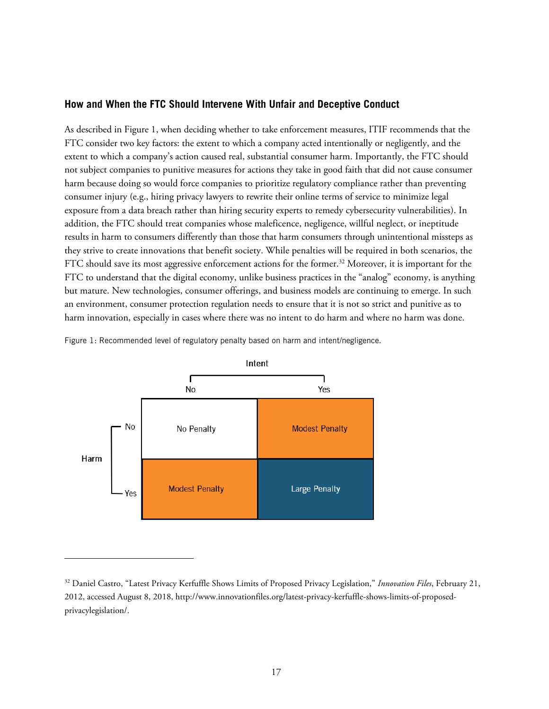#### **How and When the FTC Should Intervene With Unfair and Deceptive Conduct**

As described in Figure 1, when deciding whether to take enforcement measures, ITIF recommends that the FTC consider two key factors: the extent to which a company acted intentionally or negligently, and the extent to which a company's action caused real, substantial consumer harm. Importantly, the FTC should not subject companies to punitive measures for actions they take in good faith that did not cause consumer harm because doing so would force companies to prioritize regulatory compliance rather than preventing consumer injury (e.g., hiring privacy lawyers to rewrite their online terms of service to minimize legal exposure from a data breach rather than hiring security experts to remedy cybersecurity vulnerabilities). In addition, the FTC should treat companies whose maleficence, negligence, willful neglect, or ineptitude results in harm to consumers differently than those that harm consumers through unintentional missteps as they strive to create innovations that benefit society. While penalties will be required in both scenarios, the FTC should save its most aggressive enforcement actions for the former.<sup>[32](#page-16-0)</sup> Moreover, it is important for the FTC to understand that the digital economy, unlike business practices in the "analog" economy, is anything but mature. New technologies, consumer offerings, and business models are continuing to emerge. In such an environment, consumer protection regulation needs to ensure that it is not so strict and punitive as to harm innovation, especially in cases where there was no intent to do harm and where no harm was done.



Figure 1: Recommended level of regulatory penalty based on harm and intent/negligence.

<span id="page-16-0"></span><sup>32</sup> Daniel Castro, "Latest Privacy Kerfuffle Shows Limits of Proposed Privacy Legislation," *Innovation Files*, February 21, 2012, accessed August 8, 2018[, http://www.innovationfiles.org/latest-privacy-kerfuffle-shows-limits-of-proposed](http://www.innovationfiles.org/latest-privacy-kerfuffle-shows-limits-of-proposed-privacylegislation/)[privacylegislation/.](http://www.innovationfiles.org/latest-privacy-kerfuffle-shows-limits-of-proposed-privacylegislation/)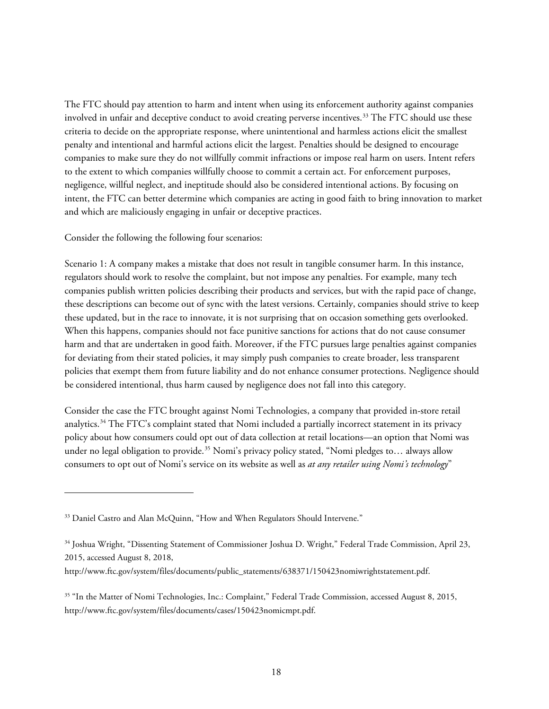The FTC should pay attention to harm and intent when using its enforcement authority against companies involved in unfair and deceptive conduct to avoid creating perverse incentives.<sup>[33](#page-17-0)</sup> The FTC should use these criteria to decide on the appropriate response, where unintentional and harmless actions elicit the smallest penalty and intentional and harmful actions elicit the largest. Penalties should be designed to encourage companies to make sure they do not willfully commit infractions or impose real harm on users. Intent refers to the extent to which companies willfully choose to commit a certain act. For enforcement purposes, negligence, willful neglect, and ineptitude should also be considered intentional actions. By focusing on intent, the FTC can better determine which companies are acting in good faith to bring innovation to market and which are maliciously engaging in unfair or deceptive practices.

#### Consider the following the following four scenarios:

1

Scenario 1: A company makes a mistake that does not result in tangible consumer harm. In this instance, regulators should work to resolve the complaint, but not impose any penalties. For example, many tech companies publish written policies describing their products and services, but with the rapid pace of change, these descriptions can become out of sync with the latest versions. Certainly, companies should strive to keep these updated, but in the race to innovate, it is not surprising that on occasion something gets overlooked. When this happens, companies should not face punitive sanctions for actions that do not cause consumer harm and that are undertaken in good faith. Moreover, if the FTC pursues large penalties against companies for deviating from their stated policies, it may simply push companies to create broader, less transparent policies that exempt them from future liability and do not enhance consumer protections. Negligence should be considered intentional, thus harm caused by negligence does not fall into this category.

Consider the case the FTC brought against Nomi Technologies, a company that provided in-store retail analytics.<sup>[34](#page-17-1)</sup> The FTC's complaint stated that Nomi included a partially incorrect statement in its privacy policy about how consumers could opt out of data collection at retail locations—an option that Nomi was under no legal obligation to provide.<sup>[35](#page-17-2)</sup> Nomi's privacy policy stated, "Nomi pledges to... always allow consumers to opt out of Nomi's service on its website as well as *at any retailer using Nomi's technology*"

<span id="page-17-0"></span><sup>&</sup>lt;sup>33</sup> Daniel Castro and Alan McQuinn, "How and When Regulators Should Intervene."

<span id="page-17-1"></span><sup>34</sup> Joshua Wright, "Dissenting Statement of Commissioner Joshua D. Wright," Federal Trade Commission, April 23, 2015, accessed August 8, 2018,

[http://www.ftc.gov/system/files/documents/public\\_statements/638371/150423nomiwrightstatement.pdf.](http://www.ftc.gov/system/files/documents/public_statements/638371/150423nomiwrightstatement.pdf)

<span id="page-17-2"></span><sup>35</sup> "In the Matter of Nomi Technologies, Inc.: Complaint," Federal Trade Commission, accessed August 8, 2015, [http://www.ftc.gov/system/files/documents/cases/150423nomicmpt.pdf.](http://www.ftc.gov/system/files/documents/cases/150423nomicmpt.pdf)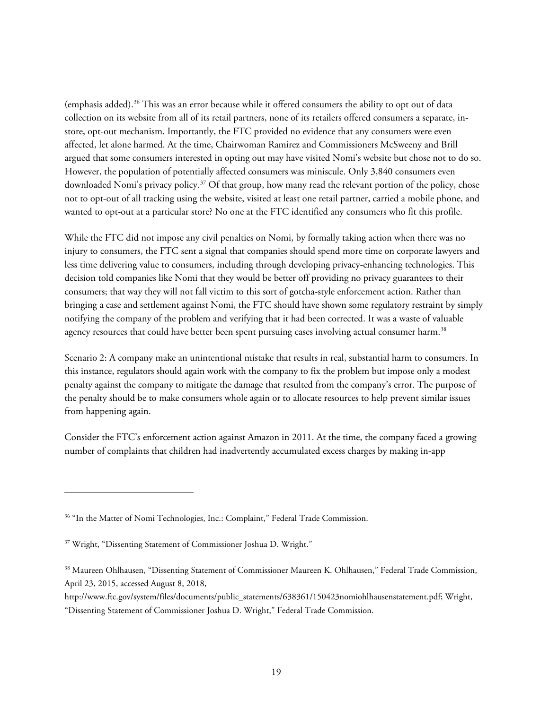(emphasis added).[36](#page-18-0) This was an error because while it offered consumers the ability to opt out of data collection on its website from all of its retail partners, none of its retailers offered consumers a separate, instore, opt-out mechanism. Importantly, the FTC provided no evidence that any consumers were even affected, let alone harmed. At the time, Chairwoman Ramirez and Commissioners McSweeny and Brill argued that some consumers interested in opting out may have visited Nomi's website but chose not to do so. However, the population of potentially affected consumers was miniscule. Only 3,840 consumers even downloaded Nomi's privacy policy.<sup>[37](#page-18-1)</sup> Of that group, how many read the relevant portion of the policy, chose not to opt-out of all tracking using the website, visited at least one retail partner, carried a mobile phone, and wanted to opt-out at a particular store? No one at the FTC identified any consumers who fit this profile.

While the FTC did not impose any civil penalties on Nomi, by formally taking action when there was no injury to consumers, the FTC sent a signal that companies should spend more time on corporate lawyers and less time delivering value to consumers, including through developing privacy-enhancing technologies. This decision told companies like Nomi that they would be better off providing no privacy guarantees to their consumers; that way they will not fall victim to this sort of gotcha-style enforcement action. Rather than bringing a case and settlement against Nomi, the FTC should have shown some regulatory restraint by simply notifying the company of the problem and verifying that it had been corrected. It was a waste of valuable agency resources that could have better been spent pursuing cases involving actual consumer harm.<sup>[38](#page-18-2)</sup>

Scenario 2: A company make an unintentional mistake that results in real, substantial harm to consumers. In this instance, regulators should again work with the company to fix the problem but impose only a modest penalty against the company to mitigate the damage that resulted from the company's error. The purpose of the penalty should be to make consumers whole again or to allocate resources to help prevent similar issues from happening again.

Consider the FTC's enforcement action against Amazon in 2011. At the time, the company faced a growing number of complaints that children had inadvertently accumulated excess charges by making in-app

<span id="page-18-0"></span><sup>36</sup> "In the Matter of Nomi Technologies, Inc.: Complaint," Federal Trade Commission.

<span id="page-18-1"></span><sup>&</sup>lt;sup>37</sup> Wright, "Dissenting Statement of Commissioner Joshua D. Wright."

<span id="page-18-2"></span><sup>38</sup> Maureen Ohlhausen, "Dissenting Statement of Commissioner Maureen K. Ohlhausen," Federal Trade Commission, April 23, 2015, accessed August 8, 2018,

[http://www.ftc.gov/system/files/documents/public\\_statements/638361/150423nomiohlhausenstatement.pdf;](http://www.ftc.gov/system/files/documents/public_statements/638361/150423nomiohlhausenstatement.pdf) Wright, "Dissenting Statement of Commissioner Joshua D. Wright," Federal Trade Commission.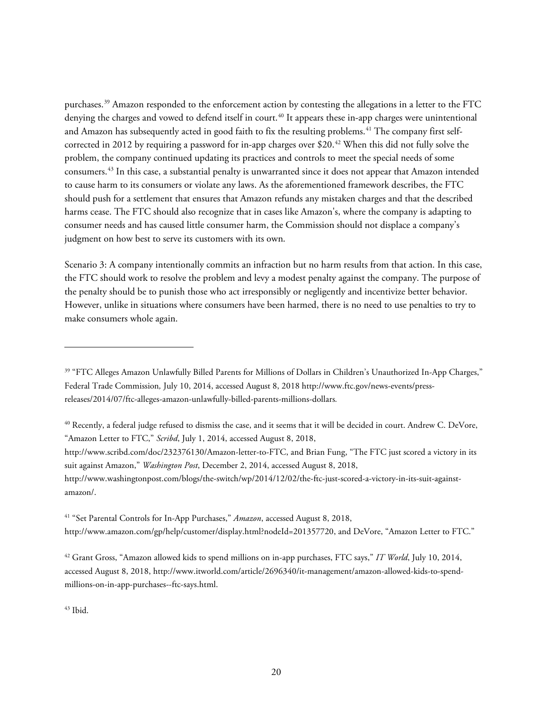purchases.<sup>[39](#page-19-0)</sup> Amazon responded to the enforcement action by contesting the allegations in a letter to the FTC denying the charges and vowed to defend itself in court.<sup>[40](#page-19-1)</sup> It appears these in-app charges were unintentional and Amazon has subsequently acted in good faith to fix the resulting problems.<sup>[41](#page-19-2)</sup> The company first self-corrected in 2012 by requiring a password for in-app charges over \$20.<sup>[42](#page-19-3)</sup> When this did not fully solve the problem, the company continued updating its practices and controls to meet the special needs of some consumers.[43](#page-19-4) In this case, a substantial penalty is unwarranted since it does not appear that Amazon intended to cause harm to its consumers or violate any laws. As the aforementioned framework describes, the FTC should push for a settlement that ensures that Amazon refunds any mistaken charges and that the described harms cease. The FTC should also recognize that in cases like Amazon's, where the company is adapting to consumer needs and has caused little consumer harm, the Commission should not displace a company's judgment on how best to serve its customers with its own.

Scenario 3: A company intentionally commits an infraction but no harm results from that action. In this case, the FTC should work to resolve the problem and levy a modest penalty against the company. The purpose of the penalty should be to punish those who act irresponsibly or negligently and incentivize better behavior. However, unlike in situations where consumers have been harmed, there is no need to use penalties to try to make consumers whole again.

[http://www.scribd.com/doc/232376130/Amazon-letter-to-FTC,](http://www.scribd.com/doc/232376130/Amazon-letter-to-FTC) and Brian Fung, "The FTC just scored a victory in its suit against Amazon," *Washington Post*, December 2, 2014, accessed August 8, 2018,

[http://www.washingtonpost.com/blogs/the-switch/wp/2014/12/02/the-ftc-just-scored-a-victory-in-its-suit-against](http://www.washingtonpost.com/blogs/the-switch/wp/2014/12/02/the-ftc-just-scored-a-victory-in-its-suit-against-amazon/)[amazon/.](http://www.washingtonpost.com/blogs/the-switch/wp/2014/12/02/the-ftc-just-scored-a-victory-in-its-suit-against-amazon/)

<span id="page-19-2"></span><sup>41</sup> "Set Parental Controls for In-App Purchases," *Amazon*, accessed August 8, 2018, [http://www.amazon.com/gp/help/customer/display.html?nodeId=201357720,](http://www.amazon.com/gp/help/customer/display.html?nodeId=201357720) and DeVore, "Amazon Letter to FTC."

<span id="page-19-4"></span> $43$  Ibid.

 $\overline{a}$ 

<span id="page-19-0"></span><sup>39</sup> "FTC Alleges Amazon Unlawfully Billed Parents for Millions of Dollars in Children's Unauthorized In-App Charges," Federal Trade Commission*,* July 10, 2014, accessed August 8, 2018 [http://www.ftc.gov/news-events/press](http://www.ftc.gov/news-events/press-releases/2014/07/ftc-alleges-amazon-unlawfully-billed-parents-millions-dollars)[releases/2014/07/ftc-alleges-amazon-unlawfully-billed-parents-millions-dollars](http://www.ftc.gov/news-events/press-releases/2014/07/ftc-alleges-amazon-unlawfully-billed-parents-millions-dollars)*.* 

<span id="page-19-1"></span> $^{40}$  Recently, a federal judge refused to dismiss the case, and it seems that it will be decided in court. Andrew C. DeVore, "Amazon Letter to FTC," *Scribd*, July 1, 2014, accessed August 8, 2018,

<span id="page-19-3"></span><sup>42</sup> Grant Gross, "Amazon allowed kids to spend millions on in-app purchases, FTC says," *IT World*, July 10, 2014, accessed August 8, 2018[, http://www.itworld.com/article/2696340/it-management/amazon-allowed-kids-to-spend](http://www.itworld.com/article/2696340/it-management/amazon-allowed-kids-to-spend-millions-on-in-app-purchases--ftc-says.html)[millions-on-in-app-purchases--ftc-says.html.](http://www.itworld.com/article/2696340/it-management/amazon-allowed-kids-to-spend-millions-on-in-app-purchases--ftc-says.html)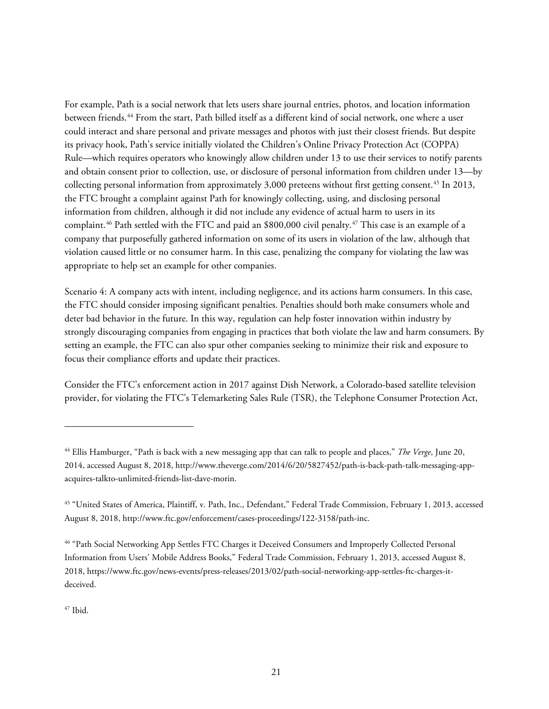For example, Path is a social network that lets users share journal entries, photos, and location information between friends.<sup>[44](#page-20-0)</sup> From the start, Path billed itself as a different kind of social network, one where a user could interact and share personal and private messages and photos with just their closest friends. But despite its privacy hook, Path's service initially violated the Children's Online Privacy Protection Act (COPPA) Rule—which requires operators who knowingly allow children under 13 to use their services to notify parents and obtain consent prior to collection, use, or disclosure of personal information from children under 13—by collecting personal information from approximately 3,000 preteens without first getting consent. [45](#page-20-1) In 2013, the FTC brought a complaint against Path for knowingly collecting, using, and disclosing personal information from children, although it did not include any evidence of actual harm to users in its complaint.<sup>[46](#page-20-2)</sup> Path settled with the FTC and paid an \$800,000 civil penalty.<sup>[47](#page-20-3)</sup> This case is an example of a company that purposefully gathered information on some of its users in violation of the law, although that violation caused little or no consumer harm. In this case, penalizing the company for violating the law was appropriate to help set an example for other companies.

Scenario 4: A company acts with intent, including negligence, and its actions harm consumers. In this case, the FTC should consider imposing significant penalties. Penalties should both make consumers whole and deter bad behavior in the future. In this way, regulation can help foster innovation within industry by strongly discouraging companies from engaging in practices that both violate the law and harm consumers. By setting an example, the FTC can also spur other companies seeking to minimize their risk and exposure to focus their compliance efforts and update their practices.

Consider the FTC's enforcement action in 2017 against Dish Network, a Colorado-based satellite television provider, for violating the FTC's Telemarketing Sales Rule (TSR), the Telephone Consumer Protection Act,

<span id="page-20-3"></span> $47$  Ibid.

<span id="page-20-0"></span><sup>44</sup> Ellis Hamburger, "Path is back with a new messaging app that can talk to people and places," *The Verge*, June 20, 2014, accessed August 8, 2018, [http://www.theverge.com/2014/6/20/5827452/path-is-back-path-talk-messaging-app](http://www.theverge.com/2014/6/20/5827452/path-is-back-path-talk-messaging-app-acquires-talkto-unlimited-friends-list-dave-morin)[acquires-talkto-unlimited-friends-list-dave-morin.](http://www.theverge.com/2014/6/20/5827452/path-is-back-path-talk-messaging-app-acquires-talkto-unlimited-friends-list-dave-morin)

<span id="page-20-1"></span><sup>45</sup> "United States of America, Plaintiff, v. Path, Inc., Defendant," Federal Trade Commission, February 1, 2013, accessed August 8, 2018[, http://www.ftc.gov/enforcement/cases-proceedings/122-3158/path-inc.](http://www.ftc.gov/enforcement/cases-proceedings/122-3158/path-inc)

<span id="page-20-2"></span><sup>46</sup> "Path Social Networking App Settles FTC Charges it Deceived Consumers and Improperly Collected Personal Information from Users' Mobile Address Books," Federal Trade Commission, February 1, 2013, accessed August 8, 2018, [https://www.ftc.gov/news-events/press-releases/2013/02/path-social-networking-app-settles-ftc-charges-it](https://www.ftc.gov/news-events/press-releases/2013/02/path-social-networking-app-settles-ftc-charges-it-deceived)[deceived.](https://www.ftc.gov/news-events/press-releases/2013/02/path-social-networking-app-settles-ftc-charges-it-deceived)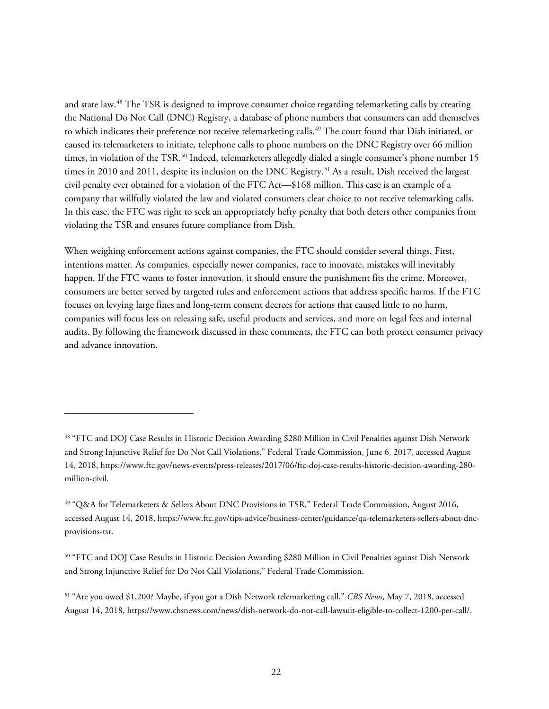and state law.[48](#page-21-0) The TSR is designed to improve consumer choice regarding telemarketing calls by creating the National Do Not Call (DNC) Registry, a database of phone numbers that consumers can add themselves to which indicates their preference not receive telemarketing calls.<sup>[49](#page-21-1)</sup> The court found that Dish initiated, or caused its telemarketers to initiate, telephone calls to phone numbers on the DNC Registry over 66 million times, in violation of the TSR.<sup>[50](#page-21-2)</sup> Indeed, telemarketers allegedly dialed a single consumer's phone number 15 times in 2010 and 2011, despite its inclusion on the DNC Registry.<sup>[51](#page-21-3)</sup> As a result, Dish received the largest civil penalty ever obtained for a violation of the FTC Act—\$168 million. This case is an example of a company that willfully violated the law and violated consumers clear choice to not receive telemarking calls. In this case, the FTC was right to seek an appropriately hefty penalty that both deters other companies from violating the TSR and ensures future compliance from Dish.

When weighing enforcement actions against companies, the FTC should consider several things. First, intentions matter. As companies, especially newer companies, race to innovate, mistakes will inevitably happen. If the FTC wants to foster innovation, it should ensure the punishment fits the crime. Moreover, consumers are better served by targeted rules and enforcement actions that address specific harms. If the FTC focuses on levying large fines and long-term consent decrees for actions that caused little to no harm, companies will focus less on releasing safe, useful products and services, and more on legal fees and internal audits. By following the framework discussed in these comments, the FTC can both protect consumer privacy and advance innovation.

<span id="page-21-0"></span><sup>&</sup>lt;sup>48</sup> "FTC and DOJ Case Results in Historic Decision Awarding \$280 Million in Civil Penalties against Dish Network and Strong Injunctive Relief for Do Not Call Violations," Federal Trade Commission, June 6, 2017, accessed August 14, 2018, [https://www.ftc.gov/news-events/press-releases/2017/06/ftc-doj-case-results-historic-decision-awarding-280](https://www.ftc.gov/news-events/press-releases/2017/06/ftc-doj-case-results-historic-decision-awarding-280-million-civil) [million-civil.](https://www.ftc.gov/news-events/press-releases/2017/06/ftc-doj-case-results-historic-decision-awarding-280-million-civil)

<span id="page-21-1"></span><sup>49</sup> "Q&A for Telemarketers & Sellers About DNC Provisions in TSR," Federal Trade Commission, August 2016, accessed August 14, 2018[, https://www.ftc.gov/tips-advice/business-center/guidance/qa-telemarketers-sellers-about-dnc](https://www.ftc.gov/tips-advice/business-center/guidance/qa-telemarketers-sellers-about-dnc-provisions-tsr)[provisions-tsr.](https://www.ftc.gov/tips-advice/business-center/guidance/qa-telemarketers-sellers-about-dnc-provisions-tsr)

<span id="page-21-2"></span><sup>50</sup> "FTC and DOJ Case Results in Historic Decision Awarding \$280 Million in Civil Penalties against Dish Network and Strong Injunctive Relief for Do Not Call Violations," Federal Trade Commission.

<span id="page-21-3"></span><sup>51</sup> "Are you owed \$1,200? Maybe, if you got a Dish Network telemarketing call," *CBS News*, May 7, 2018, accessed August 14, 2018[, https://www.cbsnews.com/news/dish-network-do-not-call-lawsuit-eligible-to-collect-1200-per-call/.](https://www.cbsnews.com/news/dish-network-do-not-call-lawsuit-eligible-to-collect-1200-per-call/)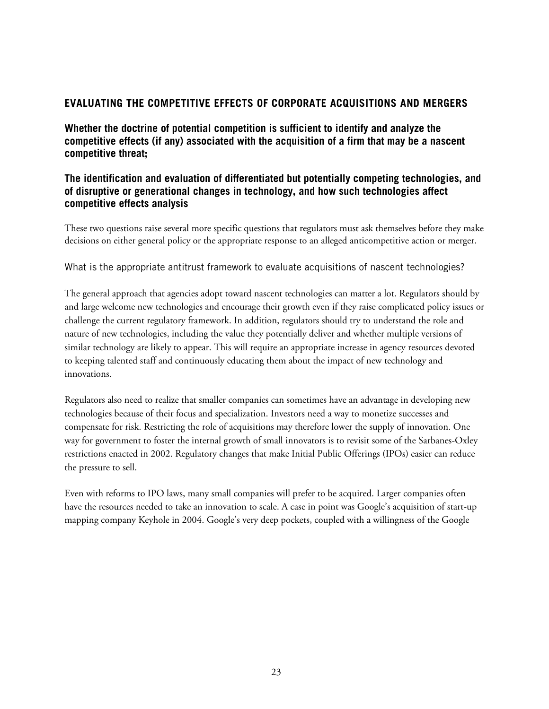#### **EVALUATING THE COMPETITIVE EFFECTS OF CORPORATE ACQUISITIONS AND MERGERS**

**Whether the doctrine of potential competition is sufficient to identify and analyze the competitive effects (if any) associated with the acquisition of a firm that may be a nascent competitive threat;**

## **The identification and evaluation of differentiated but potentially competing technologies, and of disruptive or generational changes in technology, and how such technologies affect competitive effects analysis**

These two questions raise several more specific questions that regulators must ask themselves before they make decisions on either general policy or the appropriate response to an alleged anticompetitive action or merger.

What is the appropriate antitrust framework to evaluate acquisitions of nascent technologies?

The general approach that agencies adopt toward nascent technologies can matter a lot. Regulators should by and large welcome new technologies and encourage their growth even if they raise complicated policy issues or challenge the current regulatory framework. In addition, regulators should try to understand the role and nature of new technologies, including the value they potentially deliver and whether multiple versions of similar technology are likely to appear. This will require an appropriate increase in agency resources devoted to keeping talented staff and continuously educating them about the impact of new technology and innovations.

Regulators also need to realize that smaller companies can sometimes have an advantage in developing new technologies because of their focus and specialization. Investors need a way to monetize successes and compensate for risk. Restricting the role of acquisitions may therefore lower the supply of innovation. One way for government to foster the internal growth of small innovators is to revisit some of the Sarbanes-Oxley restrictions enacted in 2002. Regulatory changes that make Initial Public Offerings (IPOs) easier can reduce the pressure to sell.

Even with reforms to IPO laws, many small companies will prefer to be acquired. Larger companies often have the resources needed to take an innovation to scale. A case in point was Google's acquisition of start-up mapping company Keyhole in 2004. Google's very deep pockets, coupled with a willingness of the Google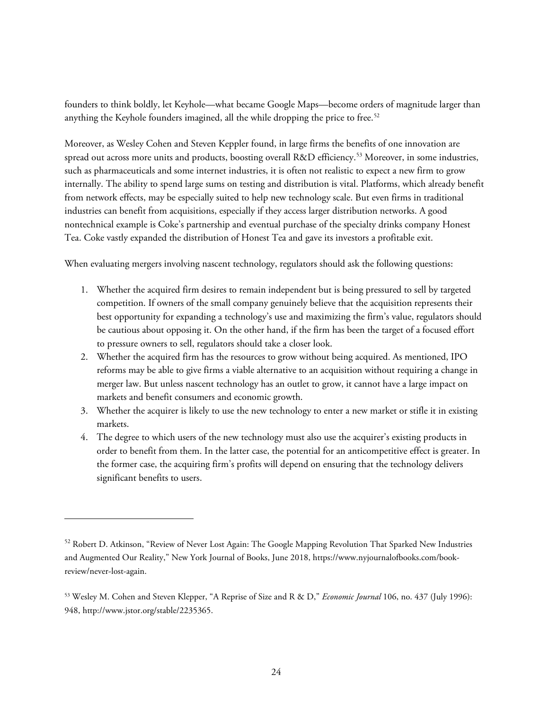founders to think boldly, let Keyhole—what became Google Maps—become orders of magnitude larger than anything the Keyhole founders imagined, all the while dropping the price to free.<sup>[52](#page-23-0)</sup>

Moreover, as Wesley Cohen and Steven Keppler found, in large firms the benefits of one innovation are spread out across more units and products, boosting overall R&D efficiency.<sup>[53](#page-23-1)</sup> Moreover, in some industries, such as pharmaceuticals and some internet industries, it is often not realistic to expect a new firm to grow internally. The ability to spend large sums on testing and distribution is vital. Platforms, which already benefit from network effects, may be especially suited to help new technology scale. But even firms in traditional industries can benefit from acquisitions, especially if they access larger distribution networks. A good nontechnical example is Coke's partnership and eventual purchase of the specialty drinks company Honest Tea. Coke vastly expanded the distribution of Honest Tea and gave its investors a profitable exit.

When evaluating mergers involving nascent technology, regulators should ask the following questions:

- 1. Whether the acquired firm desires to remain independent but is being pressured to sell by targeted competition. If owners of the small company genuinely believe that the acquisition represents their best opportunity for expanding a technology's use and maximizing the firm's value, regulators should be cautious about opposing it. On the other hand, if the firm has been the target of a focused effort to pressure owners to sell, regulators should take a closer look.
- 2. Whether the acquired firm has the resources to grow without being acquired. As mentioned, IPO reforms may be able to give firms a viable alternative to an acquisition without requiring a change in merger law. But unless nascent technology has an outlet to grow, it cannot have a large impact on markets and benefit consumers and economic growth.
- 3. Whether the acquirer is likely to use the new technology to enter a new market or stifle it in existing markets.
- 4. The degree to which users of the new technology must also use the acquirer's existing products in order to benefit from them. In the latter case, the potential for an anticompetitive effect is greater. In the former case, the acquiring firm's profits will depend on ensuring that the technology delivers significant benefits to users.

 $\overline{a}$ 

<span id="page-23-0"></span><sup>52</sup> Robert D. Atkinson, "Review of Never Lost Again: The Google Mapping Revolution That Sparked New Industries and Augmented Our Reality," New York Journal of Books, June 2018, https://www.nyjournalofbooks.com/bookreview/never-lost-again.

<span id="page-23-1"></span><sup>53</sup> Wesley M. Cohen and Steven Klepper, "A Reprise of Size and R & D," *Economic Journal* 106, no. 437 (July 1996): 948, http://www.jstor.org/stable/2235365.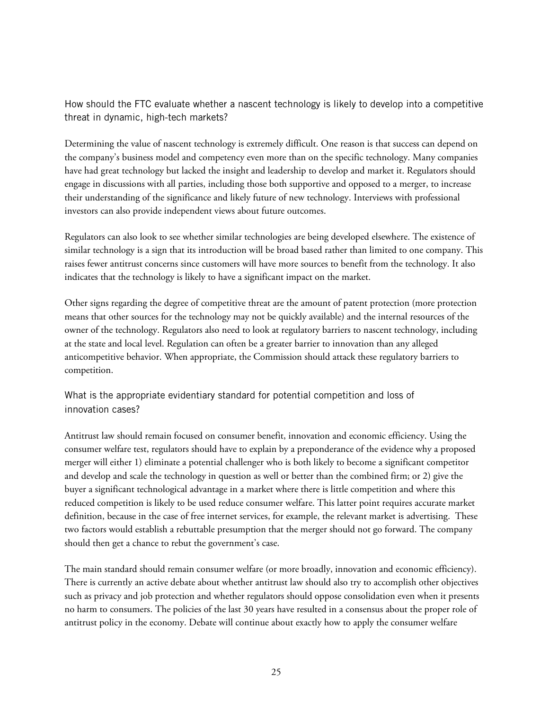How should the FTC evaluate whether a nascent technology is likely to develop into a competitive threat in dynamic, high-tech markets?

Determining the value of nascent technology is extremely difficult. One reason is that success can depend on the company's business model and competency even more than on the specific technology. Many companies have had great technology but lacked the insight and leadership to develop and market it. Regulators should engage in discussions with all parties, including those both supportive and opposed to a merger, to increase their understanding of the significance and likely future of new technology. Interviews with professional investors can also provide independent views about future outcomes.

Regulators can also look to see whether similar technologies are being developed elsewhere. The existence of similar technology is a sign that its introduction will be broad based rather than limited to one company. This raises fewer antitrust concerns since customers will have more sources to benefit from the technology. It also indicates that the technology is likely to have a significant impact on the market.

Other signs regarding the degree of competitive threat are the amount of patent protection (more protection means that other sources for the technology may not be quickly available) and the internal resources of the owner of the technology. Regulators also need to look at regulatory barriers to nascent technology, including at the state and local level. Regulation can often be a greater barrier to innovation than any alleged anticompetitive behavior. When appropriate, the Commission should attack these regulatory barriers to competition.

What is the appropriate evidentiary standard for potential competition and loss of innovation cases?

Antitrust law should remain focused on consumer benefit, innovation and economic efficiency. Using the consumer welfare test, regulators should have to explain by a preponderance of the evidence why a proposed merger will either 1) eliminate a potential challenger who is both likely to become a significant competitor and develop and scale the technology in question as well or better than the combined firm; or 2) give the buyer a significant technological advantage in a market where there is little competition and where this reduced competition is likely to be used reduce consumer welfare. This latter point requires accurate market definition, because in the case of free internet services, for example, the relevant market is advertising. These two factors would establish a rebuttable presumption that the merger should not go forward. The company should then get a chance to rebut the government's case.

The main standard should remain consumer welfare (or more broadly, innovation and economic efficiency). There is currently an active debate about whether antitrust law should also try to accomplish other objectives such as privacy and job protection and whether regulators should oppose consolidation even when it presents no harm to consumers. The policies of the last 30 years have resulted in a consensus about the proper role of antitrust policy in the economy. Debate will continue about exactly how to apply the consumer welfare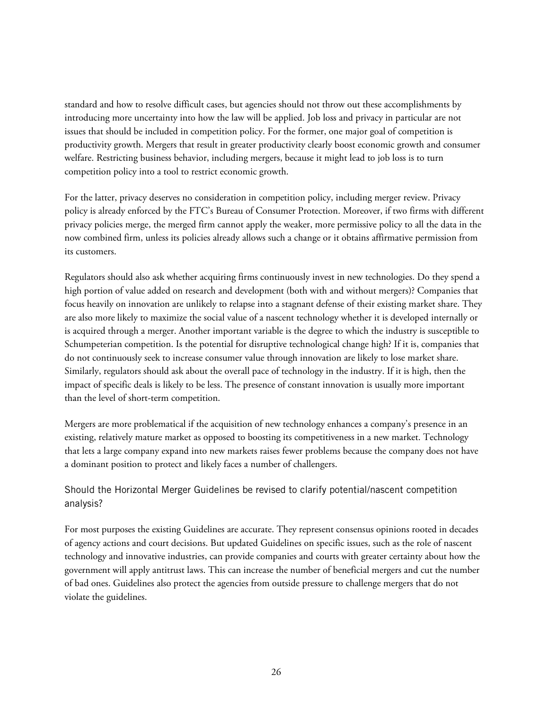standard and how to resolve difficult cases, but agencies should not throw out these accomplishments by introducing more uncertainty into how the law will be applied. Job loss and privacy in particular are not issues that should be included in competition policy. For the former, one major goal of competition is productivity growth. Mergers that result in greater productivity clearly boost economic growth and consumer welfare. Restricting business behavior, including mergers, because it might lead to job loss is to turn competition policy into a tool to restrict economic growth.

For the latter, privacy deserves no consideration in competition policy, including merger review. Privacy policy is already enforced by the FTC's Bureau of Consumer Protection. Moreover, if two firms with different privacy policies merge, the merged firm cannot apply the weaker, more permissive policy to all the data in the now combined firm, unless its policies already allows such a change or it obtains affirmative permission from its customers.

Regulators should also ask whether acquiring firms continuously invest in new technologies. Do they spend a high portion of value added on research and development (both with and without mergers)? Companies that focus heavily on innovation are unlikely to relapse into a stagnant defense of their existing market share. They are also more likely to maximize the social value of a nascent technology whether it is developed internally or is acquired through a merger. Another important variable is the degree to which the industry is susceptible to Schumpeterian competition. Is the potential for disruptive technological change high? If it is, companies that do not continuously seek to increase consumer value through innovation are likely to lose market share. Similarly, regulators should ask about the overall pace of technology in the industry. If it is high, then the impact of specific deals is likely to be less. The presence of constant innovation is usually more important than the level of short-term competition.

Mergers are more problematical if the acquisition of new technology enhances a company's presence in an existing, relatively mature market as opposed to boosting its competitiveness in a new market. Technology that lets a large company expand into new markets raises fewer problems because the company does not have a dominant position to protect and likely faces a number of challengers.

Should the Horizontal Merger Guidelines be revised to clarify potential/nascent competition analysis?

For most purposes the existing Guidelines are accurate. They represent consensus opinions rooted in decades of agency actions and court decisions. But updated Guidelines on specific issues, such as the role of nascent technology and innovative industries, can provide companies and courts with greater certainty about how the government will apply antitrust laws. This can increase the number of beneficial mergers and cut the number of bad ones. Guidelines also protect the agencies from outside pressure to challenge mergers that do not violate the guidelines.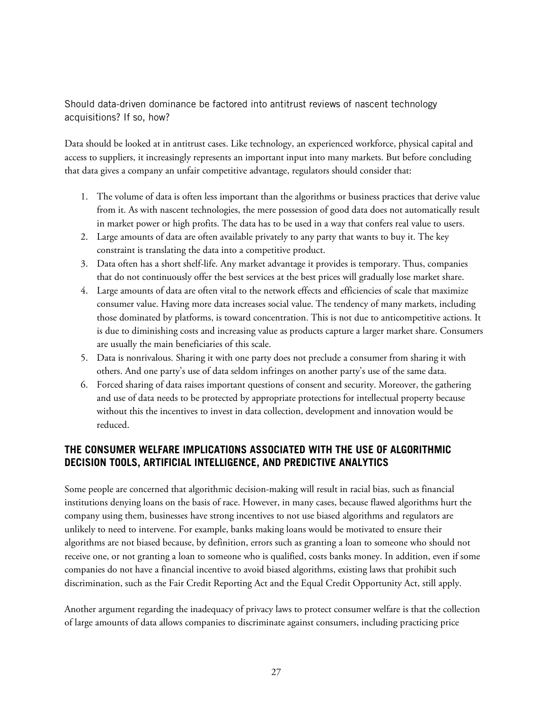Should data-driven dominance be factored into antitrust reviews of nascent technology acquisitions? If so, how?

Data should be looked at in antitrust cases. Like technology, an experienced workforce, physical capital and access to suppliers, it increasingly represents an important input into many markets. But before concluding that data gives a company an unfair competitive advantage, regulators should consider that:

- 1. The volume of data is often less important than the algorithms or business practices that derive value from it. As with nascent technologies, the mere possession of good data does not automatically result in market power or high profits. The data has to be used in a way that confers real value to users.
- 2. Large amounts of data are often available privately to any party that wants to buy it. The key constraint is translating the data into a competitive product.
- 3. Data often has a short shelf-life. Any market advantage it provides is temporary. Thus, companies that do not continuously offer the best services at the best prices will gradually lose market share.
- 4. Large amounts of data are often vital to the network effects and efficiencies of scale that maximize consumer value. Having more data increases social value. The tendency of many markets, including those dominated by platforms, is toward concentration. This is not due to anticompetitive actions. It is due to diminishing costs and increasing value as products capture a larger market share. Consumers are usually the main beneficiaries of this scale.
- 5. Data is nonrivalous. Sharing it with one party does not preclude a consumer from sharing it with others. And one party's use of data seldom infringes on another party's use of the same data.
- 6. Forced sharing of data raises important questions of consent and security. Moreover, the gathering and use of data needs to be protected by appropriate protections for intellectual property because without this the incentives to invest in data collection, development and innovation would be reduced.

# **THE CONSUMER WELFARE IMPLICATIONS ASSOCIATED WITH THE USE OF ALGORITHMIC DECISION TOOLS, ARTIFICIAL INTELLIGENCE, AND PREDICTIVE ANALYTICS**

Some people are concerned that algorithmic decision-making will result in racial bias, such as financial institutions denying loans on the basis of race. However, in many cases, because flawed algorithms hurt the company using them, businesses have strong incentives to not use biased algorithms and regulators are unlikely to need to intervene. For example, banks making loans would be motivated to ensure their algorithms are not biased because, by definition, errors such as granting a loan to someone who should not receive one, or not granting a loan to someone who is qualified, costs banks money. In addition, even if some companies do not have a financial incentive to avoid biased algorithms, existing laws that prohibit such discrimination, such as the Fair Credit Reporting Act and the Equal Credit Opportunity Act, still apply.

Another argument regarding the inadequacy of privacy laws to protect consumer welfare is that the collection of large amounts of data allows companies to discriminate against consumers, including practicing price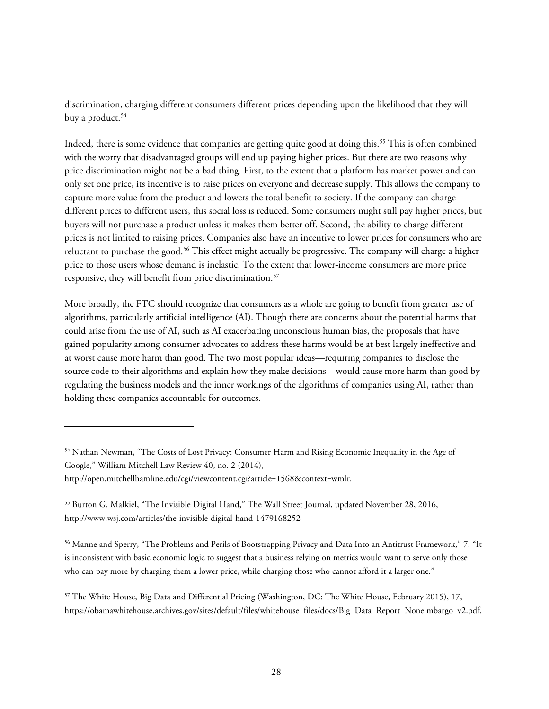discrimination, charging different consumers different prices depending upon the likelihood that they will buy a product.<sup>[54](#page-27-0)</sup>

Indeed, there is some evidence that companies are getting quite good at doing this.<sup>[55](#page-27-1)</sup> This is often combined with the worry that disadvantaged groups will end up paying higher prices. But there are two reasons why price discrimination might not be a bad thing. First, to the extent that a platform has market power and can only set one price, its incentive is to raise prices on everyone and decrease supply. This allows the company to capture more value from the product and lowers the total benefit to society. If the company can charge different prices to different users, this social loss is reduced. Some consumers might still pay higher prices, but buyers will not purchase a product unless it makes them better off. Second, the ability to charge different prices is not limited to raising prices. Companies also have an incentive to lower prices for consumers who are reluctant to purchase the good.<sup>[56](#page-27-2)</sup> This effect might actually be progressive. The company will charge a higher price to those users whose demand is inelastic. To the extent that lower-income consumers are more price responsive, they will benefit from price discrimination.<sup>[57](#page-27-3)</sup>

More broadly, the FTC should recognize that consumers as a whole are going to benefit from greater use of algorithms, particularly artificial intelligence (AI). Though there are concerns about the potential harms that could arise from the use of AI, such as AI exacerbating unconscious human bias, the proposals that have gained popularity among consumer advocates to address these harms would be at best largely ineffective and at worst cause more harm than good. The two most popular ideas—requiring companies to disclose the source code to their algorithms and explain how they make decisions—would cause more harm than good by regulating the business models and the inner workings of the algorithms of companies using AI, rather than holding these companies accountable for outcomes.

<span id="page-27-0"></span><sup>54</sup> Nathan Newman, "The Costs of Lost Privacy: Consumer Harm and Rising Economic Inequality in the Age of Google," William Mitchell Law Review 40, no. 2 (2014),

http://open.mitchellhamline.edu/cgi/viewcontent.cgi?article=1568&context=wmlr.

<span id="page-27-1"></span><sup>55</sup> Burton G. Malkiel, "The Invisible Digital Hand," The Wall Street Journal, updated November 28, 2016, http://www.wsj.com/articles/the-invisible-digital-hand-1479168252

<span id="page-27-2"></span><sup>56</sup> Manne and Sperry, "The Problems and Perils of Bootstrapping Privacy and Data Into an Antitrust Framework," 7. "It is inconsistent with basic economic logic to suggest that a business relying on metrics would want to serve only those who can pay more by charging them a lower price, while charging those who cannot afford it a larger one."

<span id="page-27-3"></span><sup>57</sup> The White House, Big Data and Differential Pricing (Washington, DC: The White House, February 2015), 17, https://obamawhitehouse.archives.gov/sites/default/files/whitehouse\_files/docs/Big\_Data\_Report\_None mbargo\_v2.pdf.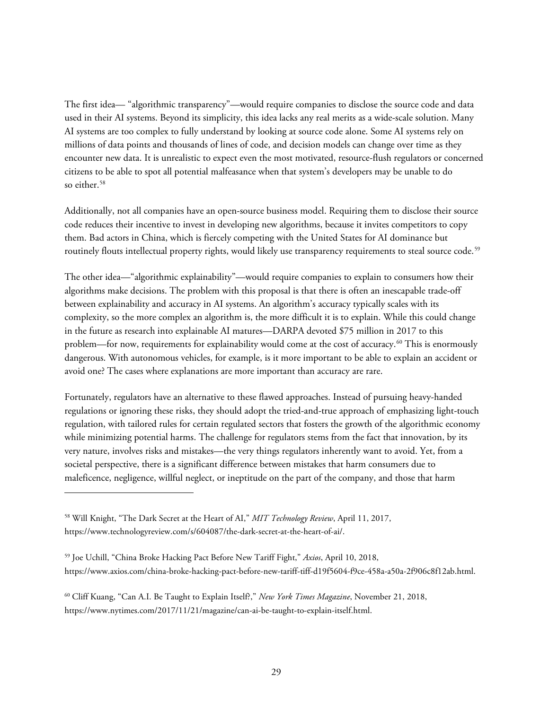The first idea— "algorithmic transparency"—would require companies to disclose the source code and data used in their AI systems. Beyond its simplicity, this idea lacks any real merits as a wide-scale solution. Many AI systems are too complex to fully understand by looking at source code alone. Some AI systems rely on millions of data points and thousands of lines of code, and decision models can change over time as they encounter new data. It is unrealistic to expect even the most motivated, resource-flush regulators or concerned citizens to be able to spot all potential malfeasance when that system's developers may be unable to do so either.<sup>[58](#page-28-0)</sup>

Additionally, not all companies have an open-source business model. Requiring them to disclose their source code reduces their incentive to invest in developing new algorithms, because it invites competitors to copy them. Bad actors in China, which is fiercely competing with the United States for AI dominance but routinely flouts intellectual property rights, would likely use transparency requirements to steal source code.<sup>[59](#page-28-1)</sup>

The other idea—"algorithmic explainability"—would require companies to explain to consumers how their algorithms make decisions. The problem with this proposal is that there is often an inescapable trade-off between explainability and accuracy in AI systems. An algorithm's accuracy typically scales with its complexity, so the more complex an algorithm is, the more difficult it is to explain. While this could change in the future as research into explainable AI matures—DARPA devoted \$75 million in 2017 to this problem—for now, requirements for explainability would come at the cost of accuracy.[60](#page-28-2) This is enormously dangerous. With autonomous vehicles, for example, is it more important to be able to explain an accident or avoid one? The cases where explanations are more important than accuracy are rare.

Fortunately, regulators have an alternative to these flawed approaches. Instead of pursuing heavy-handed regulations or ignoring these risks, they should adopt the tried-and-true approach of emphasizing light-touch regulation, with tailored rules for certain regulated sectors that fosters the growth of the algorithmic economy while minimizing potential harms. The challenge for regulators stems from the fact that innovation, by its very nature, involves risks and mistakes—the very things regulators inherently want to avoid. Yet, from a societal perspective, there is a significant difference between mistakes that harm consumers due to maleficence, negligence, willful neglect, or ineptitude on the part of the company, and those that harm

<span id="page-28-0"></span><sup>58</sup> Will Knight, "The Dark Secret at the Heart of AI," *MIT Technology Review*, April 11, 2017, https://www.technologyreview.com/s/604087/the-dark-secret-at-the-heart-of-ai/.

<span id="page-28-1"></span><sup>59</sup> Joe Uchill, "China Broke Hacking Pact Before New Tariff Fight," *Axios*, April 10, 2018, [https://www.axios.com/china-broke-hacking-pact-before-new-tariff-tiff-d19f5604-f9ce-458a-a50a-2f906c8f12ab.html.](https://www.axios.com/china-broke-hacking-pact-before-new-tariff-tiff-d19f5604-f9ce-458a-a50a-2f906c8f12ab.html)

<span id="page-28-2"></span><sup>60</sup> Cliff Kuang, "Can A.I. Be Taught to Explain Itself?," *New York Times Magazine*, November 21, 2018, [https://www.nytimes.com/2017/11/21/magazine/can-ai-be-taught-to-explain-itself.html.](https://www.nytimes.com/2017/11/21/magazine/can-ai-be-taught-to-explain-itself.html)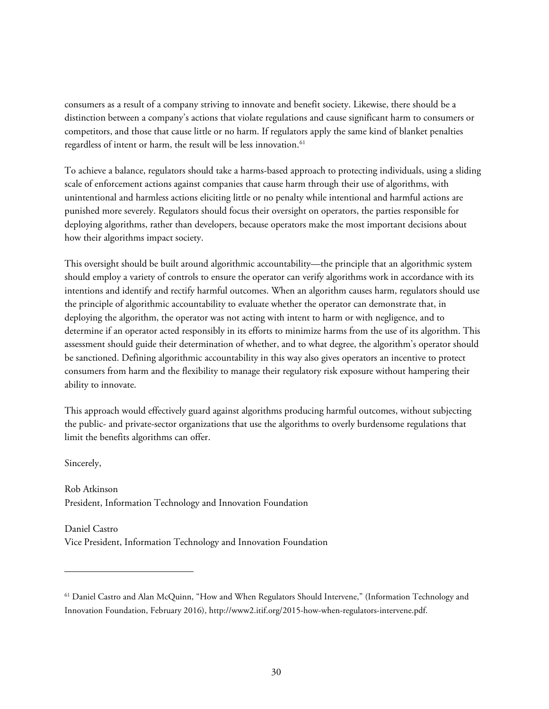consumers as a result of a company striving to innovate and benefit society. Likewise, there should be a distinction between a company's actions that violate regulations and cause significant harm to consumers or competitors, and those that cause little or no harm. If regulators apply the same kind of blanket penalties regardless of intent or harm, the result will be less innovation.<sup>[61](#page-29-0)</sup>

To achieve a balance, regulators should take a harms-based approach to protecting individuals, using a sliding scale of enforcement actions against companies that cause harm through their use of algorithms, with unintentional and harmless actions eliciting little or no penalty while intentional and harmful actions are punished more severely. Regulators should focus their oversight on operators, the parties responsible for deploying algorithms, rather than developers, because operators make the most important decisions about how their algorithms impact society.

This oversight should be built around algorithmic accountability—the principle that an algorithmic system should employ a variety of controls to ensure the operator can verify algorithms work in accordance with its intentions and identify and rectify harmful outcomes. When an algorithm causes harm, regulators should use the principle of algorithmic accountability to evaluate whether the operator can demonstrate that, in deploying the algorithm, the operator was not acting with intent to harm or with negligence, and to determine if an operator acted responsibly in its efforts to minimize harms from the use of its algorithm. This assessment should guide their determination of whether, and to what degree, the algorithm's operator should be sanctioned. Defining algorithmic accountability in this way also gives operators an incentive to protect consumers from harm and the flexibility to manage their regulatory risk exposure without hampering their ability to innovate.

This approach would effectively guard against algorithms producing harmful outcomes, without subjecting the public- and private-sector organizations that use the algorithms to overly burdensome regulations that limit the benefits algorithms can offer.

Sincerely,

1

Rob Atkinson President, Information Technology and Innovation Foundation

Daniel Castro Vice President, Information Technology and Innovation Foundation

<span id="page-29-0"></span><sup>61</sup> Daniel Castro and Alan McQuinn, "How and When Regulators Should Intervene," (Information Technology and Innovation Foundation, February 2016), http://www2.itif.org/2015-how-when-regulators-intervene.pdf.